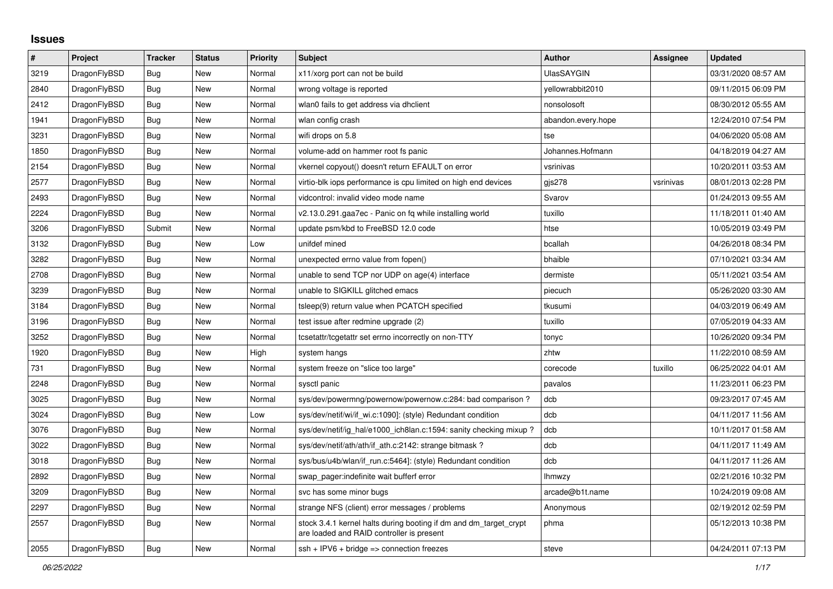## **Issues**

| $\vert$ # | Project      | <b>Tracker</b> | <b>Status</b> | <b>Priority</b> | <b>Subject</b>                                                                                                 | <b>Author</b>      | Assignee  | <b>Updated</b>      |
|-----------|--------------|----------------|---------------|-----------------|----------------------------------------------------------------------------------------------------------------|--------------------|-----------|---------------------|
| 3219      | DragonFlyBSD | Bug            | New           | Normal          | x11/xorg port can not be build                                                                                 | <b>UlasSAYGIN</b>  |           | 03/31/2020 08:57 AM |
| 2840      | DragonFlyBSD | Bug            | <b>New</b>    | Normal          | wrong voltage is reported                                                                                      | vellowrabbit2010   |           | 09/11/2015 06:09 PM |
| 2412      | DragonFlyBSD | Bug            | New           | Normal          | wlan0 fails to get address via dhclient                                                                        | nonsolosoft        |           | 08/30/2012 05:55 AM |
| 1941      | DragonFlyBSD | Bug            | New           | Normal          | wlan config crash                                                                                              | abandon.every.hope |           | 12/24/2010 07:54 PM |
| 3231      | DragonFlyBSD | <b>Bug</b>     | New           | Normal          | wifi drops on 5.8                                                                                              | tse                |           | 04/06/2020 05:08 AM |
| 1850      | DragonFlyBSD | Bug            | New           | Normal          | volume-add on hammer root fs panic                                                                             | Johannes.Hofmann   |           | 04/18/2019 04:27 AM |
| 2154      | DragonFlyBSD | Bug            | New           | Normal          | vkernel copyout() doesn't return EFAULT on error                                                               | vsrinivas          |           | 10/20/2011 03:53 AM |
| 2577      | DragonFlyBSD | Bug            | New           | Normal          | virtio-blk iops performance is cpu limited on high end devices                                                 | gis278             | vsrinivas | 08/01/2013 02:28 PM |
| 2493      | DragonFlyBSD | Bug            | New           | Normal          | vidcontrol: invalid video mode name                                                                            | Svarov             |           | 01/24/2013 09:55 AM |
| 2224      | DragonFlyBSD | Bug            | New           | Normal          | v2.13.0.291.gaa7ec - Panic on fq while installing world                                                        | tuxillo            |           | 11/18/2011 01:40 AM |
| 3206      | DragonFlyBSD | Submit         | <b>New</b>    | Normal          | update psm/kbd to FreeBSD 12.0 code                                                                            | htse               |           | 10/05/2019 03:49 PM |
| 3132      | DragonFlyBSD | Bug            | <b>New</b>    | Low             | unifdef mined                                                                                                  | bcallah            |           | 04/26/2018 08:34 PM |
| 3282      | DragonFlyBSD | Bug            | New           | Normal          | unexpected errno value from fopen()                                                                            | bhaible            |           | 07/10/2021 03:34 AM |
| 2708      | DragonFlyBSD | Bug            | New           | Normal          | unable to send TCP nor UDP on age(4) interface                                                                 | dermiste           |           | 05/11/2021 03:54 AM |
| 3239      | DragonFlyBSD | Bug            | New           | Normal          | unable to SIGKILL glitched emacs                                                                               | piecuch            |           | 05/26/2020 03:30 AM |
| 3184      | DragonFlyBSD | Bug            | New           | Normal          | tsleep(9) return value when PCATCH specified                                                                   | tkusumi            |           | 04/03/2019 06:49 AM |
| 3196      | DragonFlyBSD | Bug            | New           | Normal          | test issue after redmine upgrade (2)                                                                           | tuxillo            |           | 07/05/2019 04:33 AM |
| 3252      | DragonFlyBSD | Bug            | New           | Normal          | tcsetattr/tcgetattr set errno incorrectly on non-TTY                                                           | tonyc              |           | 10/26/2020 09:34 PM |
| 1920      | DragonFlyBSD | Bug            | New           | High            | system hangs                                                                                                   | zhtw               |           | 11/22/2010 08:59 AM |
| 731       | DragonFlyBSD | Bug            | New           | Normal          | system freeze on "slice too large"                                                                             | corecode           | tuxillo   | 06/25/2022 04:01 AM |
| 2248      | DragonFlyBSD | Bug            | New           | Normal          | sysctl panic                                                                                                   | pavalos            |           | 11/23/2011 06:23 PM |
| 3025      | DragonFlyBSD | Bug            | <b>New</b>    | Normal          | sys/dev/powermng/powernow/powernow.c:284: bad comparison?                                                      | dcb                |           | 09/23/2017 07:45 AM |
| 3024      | DragonFlyBSD | Bug            | New           | Low             | sys/dev/netif/wi/if_wi.c:1090]: (style) Redundant condition                                                    | dcb                |           | 04/11/2017 11:56 AM |
| 3076      | DragonFlyBSD | <b>Bug</b>     | <b>New</b>    | Normal          | sys/dev/netif/ig_hal/e1000_ich8lan.c:1594: sanity checking mixup ?                                             | dcb                |           | 10/11/2017 01:58 AM |
| 3022      | DragonFlyBSD | <b>Bug</b>     | New           | Normal          | sys/dev/netif/ath/ath/if_ath.c:2142: strange bitmask?                                                          | dcb                |           | 04/11/2017 11:49 AM |
| 3018      | DragonFlyBSD | Bug            | New           | Normal          | sys/bus/u4b/wlan/if run.c:5464]: (style) Redundant condition                                                   | dcb                |           | 04/11/2017 11:26 AM |
| 2892      | DragonFlyBSD | Bug            | New           | Normal          | swap pager:indefinite wait bufferf error                                                                       | <b>Ihmwzy</b>      |           | 02/21/2016 10:32 PM |
| 3209      | DragonFlyBSD | Bug            | New           | Normal          | svc has some minor bugs                                                                                        | arcade@b1t.name    |           | 10/24/2019 09:08 AM |
| 2297      | DragonFlyBSD | Bug            | New           | Normal          | strange NFS (client) error messages / problems                                                                 | Anonymous          |           | 02/19/2012 02:59 PM |
| 2557      | DragonFlyBSD | Bug            | New           | Normal          | stock 3.4.1 kernel halts during booting if dm and dm_target_crypt<br>are loaded and RAID controller is present | phma               |           | 05/12/2013 10:38 PM |
| 2055      | DragonFlyBSD | <b>Bug</b>     | <b>New</b>    | Normal          | $ssh + IPV6 + bridge \Rightarrow$ connection freezes                                                           | steve              |           | 04/24/2011 07:13 PM |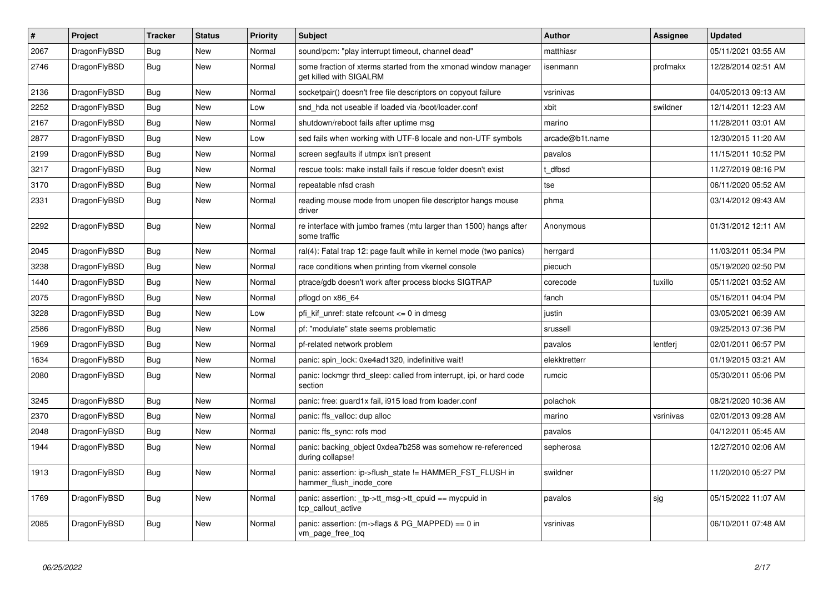| $\vert$ # | <b>Project</b> | <b>Tracker</b> | <b>Status</b> | Priority | <b>Subject</b>                                                                            | Author          | Assignee  | <b>Updated</b>      |
|-----------|----------------|----------------|---------------|----------|-------------------------------------------------------------------------------------------|-----------------|-----------|---------------------|
| 2067      | DragonFlyBSD   | Bug            | <b>New</b>    | Normal   | sound/pcm: "play interrupt timeout, channel dead"                                         | matthiasr       |           | 05/11/2021 03:55 AM |
| 2746      | DragonFlyBSD   | Bug            | New           | Normal   | some fraction of xterms started from the xmonad window manager<br>get killed with SIGALRM | isenmann        | profmakx  | 12/28/2014 02:51 AM |
| 2136      | DragonFlyBSD   | <b>Bug</b>     | New           | Normal   | socketpair() doesn't free file descriptors on copyout failure                             | vsrinivas       |           | 04/05/2013 09:13 AM |
| 2252      | DragonFlyBSD   | <b>Bug</b>     | <b>New</b>    | Low      | snd hda not useable if loaded via /boot/loader.conf                                       | xbit            | swildner  | 12/14/2011 12:23 AM |
| 2167      | DragonFlyBSD   | <b>Bug</b>     | New           | Normal   | shutdown/reboot fails after uptime msg                                                    | marino          |           | 11/28/2011 03:01 AM |
| 2877      | DragonFlyBSD   | Bug            | New           | Low      | sed fails when working with UTF-8 locale and non-UTF symbols                              | arcade@b1t.name |           | 12/30/2015 11:20 AM |
| 2199      | DragonFlyBSD   | Bug            | New           | Normal   | screen segfaults if utmpx isn't present                                                   | pavalos         |           | 11/15/2011 10:52 PM |
| 3217      | DragonFlyBSD   | <b>Bug</b>     | New           | Normal   | rescue tools: make install fails if rescue folder doesn't exist                           | t dfbsd         |           | 11/27/2019 08:16 PM |
| 3170      | DragonFlyBSD   | <b>Bug</b>     | New           | Normal   | repeatable nfsd crash                                                                     | tse             |           | 06/11/2020 05:52 AM |
| 2331      | DragonFlyBSD   | Bug            | New           | Normal   | reading mouse mode from unopen file descriptor hangs mouse<br>driver                      | phma            |           | 03/14/2012 09:43 AM |
| 2292      | DragonFlyBSD   | <b>Bug</b>     | New           | Normal   | re interface with jumbo frames (mtu larger than 1500) hangs after<br>some traffic         | Anonymous       |           | 01/31/2012 12:11 AM |
| 2045      | DragonFlyBSD   | <b>Bug</b>     | <b>New</b>    | Normal   | ral(4): Fatal trap 12: page fault while in kernel mode (two panics)                       | herrgard        |           | 11/03/2011 05:34 PM |
| 3238      | DragonFlyBSD   | Bug            | <b>New</b>    | Normal   | race conditions when printing from vkernel console                                        | piecuch         |           | 05/19/2020 02:50 PM |
| 1440      | DragonFlyBSD   | <b>Bug</b>     | <b>New</b>    | Normal   | ptrace/gdb doesn't work after process blocks SIGTRAP                                      | corecode        | tuxillo   | 05/11/2021 03:52 AM |
| 2075      | DragonFlyBSD   | <b>Bug</b>     | <b>New</b>    | Normal   | pflogd on x86_64                                                                          | fanch           |           | 05/16/2011 04:04 PM |
| 3228      | DragonFlyBSD   | Bug            | <b>New</b>    | Low      | pfi kif unref: state refcount $\leq 0$ in dmesg                                           | justin          |           | 03/05/2021 06:39 AM |
| 2586      | DragonFlyBSD   | Bug            | <b>New</b>    | Normal   | pf: "modulate" state seems problematic                                                    | srussell        |           | 09/25/2013 07:36 PM |
| 1969      | DragonFlyBSD   | <b>Bug</b>     | <b>New</b>    | Normal   | pf-related network problem                                                                | pavalos         | lentferj  | 02/01/2011 06:57 PM |
| 1634      | DragonFlyBSD   | Bug            | <b>New</b>    | Normal   | panic: spin lock: 0xe4ad1320, indefinitive wait!                                          | elekktretterr   |           | 01/19/2015 03:21 AM |
| 2080      | DragonFlyBSD   | Bug            | New           | Normal   | panic: lockmgr thrd sleep: called from interrupt, ipi, or hard code<br>section            | rumcic          |           | 05/30/2011 05:06 PM |
| 3245      | DragonFlyBSD   | <b>Bug</b>     | <b>New</b>    | Normal   | panic: free: guard1x fail, i915 load from loader.conf                                     | polachok        |           | 08/21/2020 10:36 AM |
| 2370      | DragonFlyBSD   | <b>Bug</b>     | <b>New</b>    | Normal   | panic: ffs valloc: dup alloc                                                              | marino          | vsrinivas | 02/01/2013 09:28 AM |
| 2048      | DragonFlyBSD   | Bug            | <b>New</b>    | Normal   | panic: ffs sync: rofs mod                                                                 | pavalos         |           | 04/12/2011 05:45 AM |
| 1944      | DragonFlyBSD   | <b>Bug</b>     | <b>New</b>    | Normal   | panic: backing object 0xdea7b258 was somehow re-referenced<br>during collapse!            | sepherosa       |           | 12/27/2010 02:06 AM |
| 1913      | DragonFlyBSD   | <b>Bug</b>     | New           | Normal   | panic: assertion: ip->flush_state != HAMMER_FST_FLUSH in<br>hammer flush inode core       | swildner        |           | 11/20/2010 05:27 PM |
| 1769      | DragonFlyBSD   | <b>Bug</b>     | New           | Normal   | panic: assertion: _tp->tt_msg->tt_cpuid == mycpuid in<br>tcp callout active               | pavalos         | sjg       | 05/15/2022 11:07 AM |
| 2085      | DragonFlyBSD   | Bug            | <b>New</b>    | Normal   | panic: assertion: $(m\text{-}$ sflags & PG MAPPED) == 0 in<br>vm_page_free_toq            | vsrinivas       |           | 06/10/2011 07:48 AM |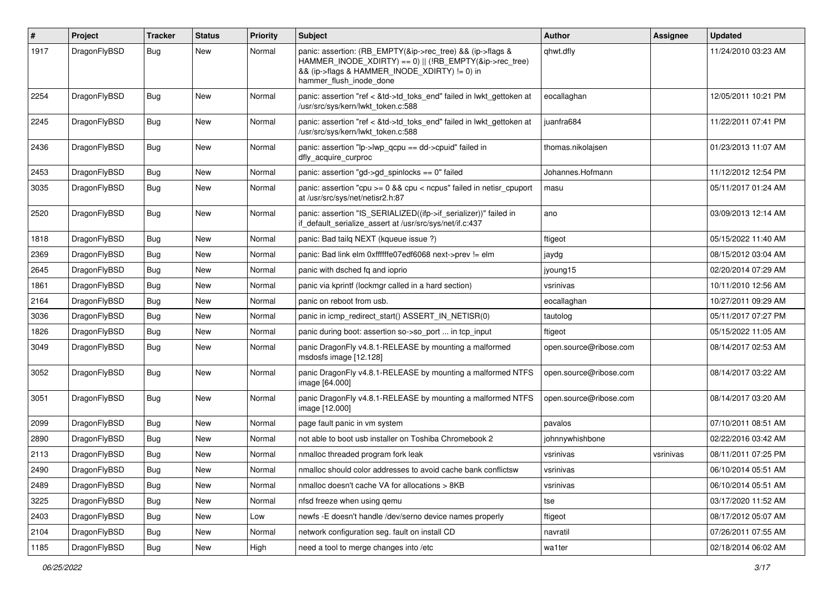| $\pmb{\#}$ | Project      | <b>Tracker</b> | <b>Status</b> | <b>Priority</b> | <b>Subject</b>                                                                                                                                                                                    | Author                 | Assignee  | <b>Updated</b>      |
|------------|--------------|----------------|---------------|-----------------|---------------------------------------------------------------------------------------------------------------------------------------------------------------------------------------------------|------------------------|-----------|---------------------|
| 1917       | DragonFlyBSD | Bug            | New           | Normal          | panic: assertion: (RB_EMPTY(&ip->rec_tree) && (ip->flags &<br>HAMMER_INODE_XDIRTY) == 0)    (!RB_EMPTY(&ip->rec_tree)<br>&& (ip->flags & HAMMER_INODE_XDIRTY) != 0) in<br>hammer flush inode done | qhwt.dfly              |           | 11/24/2010 03:23 AM |
| 2254       | DragonFlyBSD | Bug            | New           | Normal          | panic: assertion "ref < &td->td_toks_end" failed in lwkt_gettoken at<br>/usr/src/sys/kern/lwkt_token.c:588                                                                                        | eocallaghan            |           | 12/05/2011 10:21 PM |
| 2245       | DragonFlyBSD | <b>Bug</b>     | New           | Normal          | panic: assertion "ref < &td->td_toks_end" failed in lwkt_gettoken at<br>/usr/src/sys/kern/lwkt token.c:588                                                                                        | juanfra684             |           | 11/22/2011 07:41 PM |
| 2436       | DragonFlyBSD | <b>Bug</b>     | New           | Normal          | panic: assertion " $lp$ -> $lwp$ qcpu == dd->cpuid" failed in<br>dfly_acquire_curproc                                                                                                             | thomas.nikolajsen      |           | 01/23/2013 11:07 AM |
| 2453       | DragonFlyBSD | <b>Bug</b>     | New           | Normal          | panic: assertion "gd->gd spinlocks == $0$ " failed                                                                                                                                                | Johannes.Hofmann       |           | 11/12/2012 12:54 PM |
| 3035       | DragonFlyBSD | <b>Bug</b>     | <b>New</b>    | Normal          | panic: assertion "cpu >= 0 && cpu < ncpus" failed in netisr_cpuport<br>at /usr/src/sys/net/netisr2.h:87                                                                                           | masu                   |           | 05/11/2017 01:24 AM |
| 2520       | DragonFlyBSD | <b>Bug</b>     | <b>New</b>    | Normal          | panic: assertion "IS_SERIALIZED((ifp->if_serializer))" failed in<br>if default serialize assert at /usr/src/sys/net/if.c:437                                                                      | ano                    |           | 03/09/2013 12:14 AM |
| 1818       | DragonFlyBSD | Bug            | New           | Normal          | panic: Bad tailq NEXT (kqueue issue ?)                                                                                                                                                            | ftigeot                |           | 05/15/2022 11:40 AM |
| 2369       | DragonFlyBSD | Bug            | New           | Normal          | panic: Bad link elm 0xffffffe07edf6068 next->prev != elm                                                                                                                                          | jaydg                  |           | 08/15/2012 03:04 AM |
| 2645       | DragonFlyBSD | Bug            | New           | Normal          | panic with dsched fq and ioprio                                                                                                                                                                   | jyoung15               |           | 02/20/2014 07:29 AM |
| 1861       | DragonFlyBSD | Bug            | New           | Normal          | panic via kprintf (lockmgr called in a hard section)                                                                                                                                              | vsrinivas              |           | 10/11/2010 12:56 AM |
| 2164       | DragonFlyBSD | <b>Bug</b>     | <b>New</b>    | Normal          | panic on reboot from usb.                                                                                                                                                                         | eocallaghan            |           | 10/27/2011 09:29 AM |
| 3036       | DragonFlyBSD | <b>Bug</b>     | New           | Normal          | panic in icmp redirect start() ASSERT IN NETISR(0)                                                                                                                                                | tautolog               |           | 05/11/2017 07:27 PM |
| 1826       | DragonFlyBSD | Bug            | New           | Normal          | panic during boot: assertion so->so_port  in tcp_input                                                                                                                                            | ftigeot                |           | 05/15/2022 11:05 AM |
| 3049       | DragonFlyBSD | Bug            | New           | Normal          | panic DragonFly v4.8.1-RELEASE by mounting a malformed<br>msdosfs image [12.128]                                                                                                                  | open.source@ribose.com |           | 08/14/2017 02:53 AM |
| 3052       | DragonFlyBSD | <b>Bug</b>     | <b>New</b>    | Normal          | panic DragonFly v4.8.1-RELEASE by mounting a malformed NTFS<br>image [64.000]                                                                                                                     | open.source@ribose.com |           | 08/14/2017 03:22 AM |
| 3051       | DragonFlyBSD | Bug            | New           | Normal          | panic DragonFly v4.8.1-RELEASE by mounting a malformed NTFS<br>image [12.000]                                                                                                                     | open.source@ribose.com |           | 08/14/2017 03:20 AM |
| 2099       | DragonFlyBSD | Bug            | <b>New</b>    | Normal          | page fault panic in vm system                                                                                                                                                                     | pavalos                |           | 07/10/2011 08:51 AM |
| 2890       | DragonFlyBSD | Bug            | New           | Normal          | not able to boot usb installer on Toshiba Chromebook 2                                                                                                                                            | johnnywhishbone        |           | 02/22/2016 03:42 AM |
| 2113       | DragonFlyBSD | Bug            | New           | Normal          | nmalloc threaded program fork leak                                                                                                                                                                | vsrinivas              | vsrinivas | 08/11/2011 07:25 PM |
| 2490       | DragonFlyBSD | <b>Bug</b>     | New           | Normal          | nmalloc should color addresses to avoid cache bank conflictsw                                                                                                                                     | vsrinivas              |           | 06/10/2014 05:51 AM |
| 2489       | DragonFlyBSD | <b>Bug</b>     | New           | Normal          | nmalloc doesn't cache VA for allocations > 8KB                                                                                                                                                    | vsrinivas              |           | 06/10/2014 05:51 AM |
| 3225       | DragonFlyBSD | Bug            | New           | Normal          | nfsd freeze when using qemu                                                                                                                                                                       | tse                    |           | 03/17/2020 11:52 AM |
| 2403       | DragonFlyBSD | <b>Bug</b>     | New           | Low             | newfs -E doesn't handle /dev/serno device names properly                                                                                                                                          | ftigeot                |           | 08/17/2012 05:07 AM |
| 2104       | DragonFlyBSD | <b>Bug</b>     | New           | Normal          | network configuration seg. fault on install CD                                                                                                                                                    | navratil               |           | 07/26/2011 07:55 AM |
| 1185       | DragonFlyBSD | <b>Bug</b>     | New           | High            | need a tool to merge changes into /etc                                                                                                                                                            | wa1ter                 |           | 02/18/2014 06:02 AM |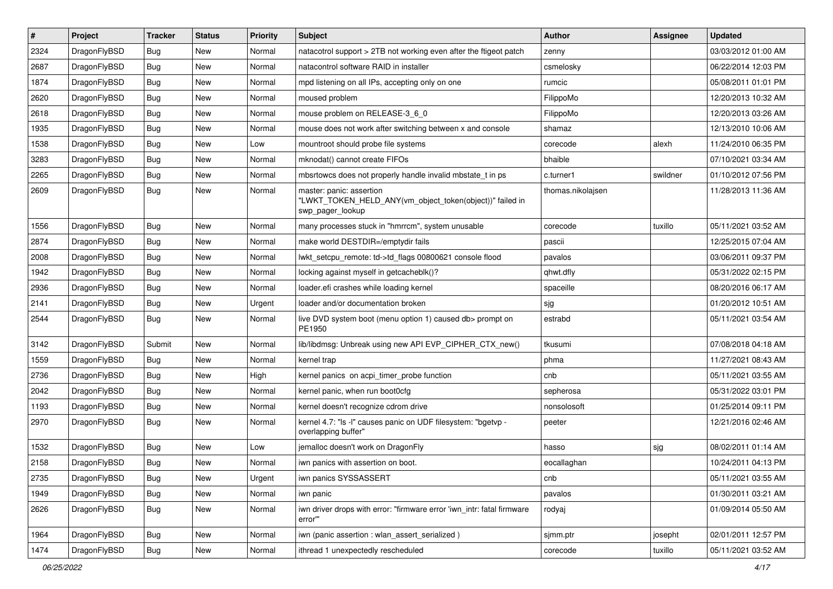| $\vert$ # | Project      | <b>Tracker</b> | <b>Status</b> | <b>Priority</b> | Subject                                                                                                  | <b>Author</b>     | <b>Assignee</b> | <b>Updated</b>      |
|-----------|--------------|----------------|---------------|-----------------|----------------------------------------------------------------------------------------------------------|-------------------|-----------------|---------------------|
| 2324      | DragonFlyBSD | <b>Bug</b>     | New           | Normal          | natacotrol support > 2TB not working even after the ftigeot patch                                        | zenny             |                 | 03/03/2012 01:00 AM |
| 2687      | DragonFlyBSD | <b>Bug</b>     | <b>New</b>    | Normal          | natacontrol software RAID in installer                                                                   | csmelosky         |                 | 06/22/2014 12:03 PM |
| 1874      | DragonFlyBSD | <b>Bug</b>     | New           | Normal          | mpd listening on all IPs, accepting only on one                                                          | rumcic            |                 | 05/08/2011 01:01 PM |
| 2620      | DragonFlyBSD | <b>Bug</b>     | New           | Normal          | moused problem                                                                                           | FilippoMo         |                 | 12/20/2013 10:32 AM |
| 2618      | DragonFlyBSD | Bug            | <b>New</b>    | Normal          | mouse problem on RELEASE-3_6_0                                                                           | FilippoMo         |                 | 12/20/2013 03:26 AM |
| 1935      | DragonFlyBSD | <b>Bug</b>     | New           | Normal          | mouse does not work after switching between x and console                                                | shamaz            |                 | 12/13/2010 10:06 AM |
| 1538      | DragonFlyBSD | <b>Bug</b>     | New           | Low             | mountroot should probe file systems                                                                      | corecode          | alexh           | 11/24/2010 06:35 PM |
| 3283      | DragonFlyBSD | <b>Bug</b>     | New           | Normal          | mknodat() cannot create FIFOs                                                                            | bhaible           |                 | 07/10/2021 03:34 AM |
| 2265      | DragonFlyBSD | <b>Bug</b>     | <b>New</b>    | Normal          | mbsrtowcs does not properly handle invalid mbstate_t in ps                                               | c.turner1         | swildner        | 01/10/2012 07:56 PM |
| 2609      | DragonFlyBSD | Bug            | New           | Normal          | master: panic: assertion<br>"LWKT_TOKEN_HELD_ANY(vm_object_token(object))" failed in<br>swp_pager_lookup | thomas.nikolajsen |                 | 11/28/2013 11:36 AM |
| 1556      | DragonFlyBSD | Bug            | New           | Normal          | many processes stuck in "hmrrcm", system unusable                                                        | corecode          | tuxillo         | 05/11/2021 03:52 AM |
| 2874      | DragonFlyBSD | <b>Bug</b>     | New           | Normal          | make world DESTDIR=/emptydir fails                                                                       | pascii            |                 | 12/25/2015 07:04 AM |
| 2008      | DragonFlyBSD | Bug            | <b>New</b>    | Normal          | lwkt_setcpu_remote: td->td_flags 00800621 console flood                                                  | pavalos           |                 | 03/06/2011 09:37 PM |
| 1942      | DragonFlyBSD | <b>Bug</b>     | New           | Normal          | locking against myself in getcacheblk()?                                                                 | qhwt.dfly         |                 | 05/31/2022 02:15 PM |
| 2936      | DragonFlyBSD | <b>Bug</b>     | New           | Normal          | loader.efi crashes while loading kernel                                                                  | spaceille         |                 | 08/20/2016 06:17 AM |
| 2141      | DragonFlyBSD | Bug            | New           | Urgent          | loader and/or documentation broken                                                                       | sjg               |                 | 01/20/2012 10:51 AM |
| 2544      | DragonFlyBSD | Bug            | <b>New</b>    | Normal          | live DVD system boot (menu option 1) caused db> prompt on<br>PE1950                                      | estrabd           |                 | 05/11/2021 03:54 AM |
| 3142      | DragonFlyBSD | Submit         | <b>New</b>    | Normal          | lib/libdmsg: Unbreak using new API EVP_CIPHER_CTX_new()                                                  | tkusumi           |                 | 07/08/2018 04:18 AM |
| 1559      | DragonFlyBSD | <b>Bug</b>     | New           | Normal          | kernel trap                                                                                              | phma              |                 | 11/27/2021 08:43 AM |
| 2736      | DragonFlyBSD | <b>Bug</b>     | <b>New</b>    | High            | kernel panics on acpi_timer_probe function                                                               | cnb               |                 | 05/11/2021 03:55 AM |
| 2042      | DragonFlyBSD | <b>Bug</b>     | New           | Normal          | kernel panic, when run boot0cfg                                                                          | sepherosa         |                 | 05/31/2022 03:01 PM |
| 1193      | DragonFlyBSD | Bug            | <b>New</b>    | Normal          | kernel doesn't recognize cdrom drive                                                                     | nonsolosoft       |                 | 01/25/2014 09:11 PM |
| 2970      | DragonFlyBSD | Bug            | New           | Normal          | kernel 4.7: "Is -l" causes panic on UDF filesystem: "bgetvp -<br>overlapping buffer"                     | peeter            |                 | 12/21/2016 02:46 AM |
| 1532      | DragonFlyBSD | Bug            | New           | Low             | jemalloc doesn't work on DragonFly                                                                       | hasso             | sjg             | 08/02/2011 01:14 AM |
| 2158      | DragonFlyBSD | Bug            | New           | Normal          | iwn panics with assertion on boot.                                                                       | eocallaghan       |                 | 10/24/2011 04:13 PM |
| 2735      | DragonFlyBSD | <b>Bug</b>     | New           | Urgent          | iwn panics SYSSASSERT                                                                                    | cnb               |                 | 05/11/2021 03:55 AM |
| 1949      | DragonFlyBSD | <b>Bug</b>     | <b>New</b>    | Normal          | iwn panic                                                                                                | pavalos           |                 | 01/30/2011 03:21 AM |
| 2626      | DragonFlyBSD | <b>Bug</b>     | New           | Normal          | iwn driver drops with error: "firmware error 'iwn_intr: fatal firmware<br>error""                        | rodyaj            |                 | 01/09/2014 05:50 AM |
| 1964      | DragonFlyBSD | <b>Bug</b>     | New           | Normal          | iwn (panic assertion : wlan assert serialized)                                                           | sjmm.ptr          | josepht         | 02/01/2011 12:57 PM |
| 1474      | DragonFlyBSD | <b>Bug</b>     | New           | Normal          | ithread 1 unexpectedly rescheduled                                                                       | corecode          | tuxillo         | 05/11/2021 03:52 AM |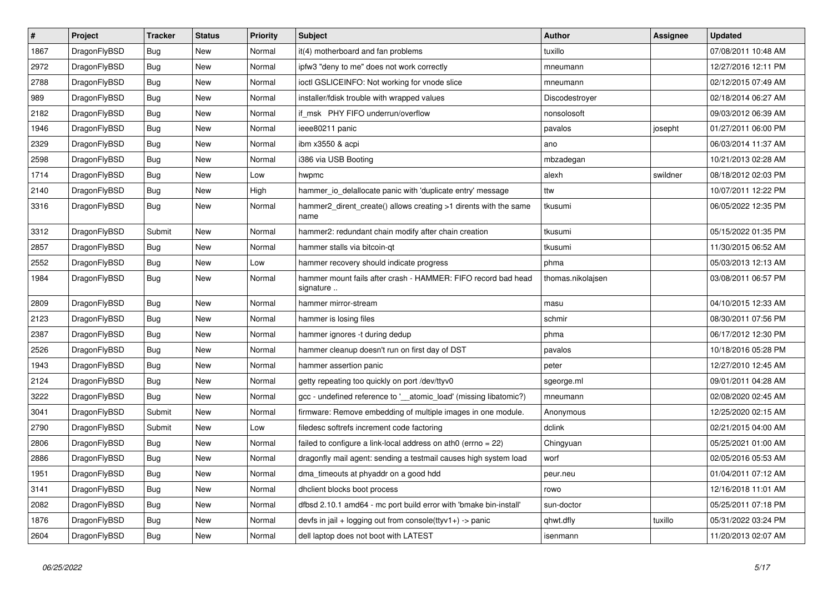| $\pmb{\#}$ | Project      | <b>Tracker</b> | <b>Status</b> | Priority | <b>Subject</b>                                                             | Author            | Assignee | <b>Updated</b>      |
|------------|--------------|----------------|---------------|----------|----------------------------------------------------------------------------|-------------------|----------|---------------------|
| 1867       | DragonFlyBSD | Bug            | New           | Normal   | it(4) motherboard and fan problems                                         | tuxillo           |          | 07/08/2011 10:48 AM |
| 2972       | DragonFlyBSD | Bug            | <b>New</b>    | Normal   | ipfw3 "deny to me" does not work correctly                                 | mneumann          |          | 12/27/2016 12:11 PM |
| 2788       | DragonFlyBSD | Bug            | New           | Normal   | ioctl GSLICEINFO: Not working for vnode slice                              | mneumann          |          | 02/12/2015 07:49 AM |
| 989        | DragonFlyBSD | <b>Bug</b>     | New           | Normal   | installer/fdisk trouble with wrapped values                                | Discodestroyer    |          | 02/18/2014 06:27 AM |
| 2182       | DragonFlyBSD | <b>Bug</b>     | New           | Normal   | if msk PHY FIFO underrun/overflow                                          | nonsolosoft       |          | 09/03/2012 06:39 AM |
| 1946       | DragonFlyBSD | <b>Bug</b>     | New           | Normal   | ieee80211 panic                                                            | pavalos           | josepht  | 01/27/2011 06:00 PM |
| 2329       | DragonFlyBSD | <b>Bug</b>     | New           | Normal   | ibm x3550 & acpi                                                           | ano               |          | 06/03/2014 11:37 AM |
| 2598       | DragonFlyBSD | Bug            | New           | Normal   | i386 via USB Booting                                                       | mbzadegan         |          | 10/21/2013 02:28 AM |
| 1714       | DragonFlyBSD | <b>Bug</b>     | <b>New</b>    | Low      | hwpmc                                                                      | alexh             | swildner | 08/18/2012 02:03 PM |
| 2140       | DragonFlyBSD | Bug            | <b>New</b>    | High     | hammer io delallocate panic with 'duplicate entry' message                 | ttw               |          | 10/07/2011 12:22 PM |
| 3316       | DragonFlyBSD | Bug            | New           | Normal   | hammer2 dirent create() allows creating >1 dirents with the same<br>name   | tkusumi           |          | 06/05/2022 12:35 PM |
| 3312       | DragonFlyBSD | Submit         | <b>New</b>    | Normal   | hammer2: redundant chain modify after chain creation                       | tkusumi           |          | 05/15/2022 01:35 PM |
| 2857       | DragonFlyBSD | <b>Bug</b>     | <b>New</b>    | Normal   | hammer stalls via bitcoin-qt                                               | tkusumi           |          | 11/30/2015 06:52 AM |
| 2552       | DragonFlyBSD | <b>Bug</b>     | <b>New</b>    | Low      | hammer recovery should indicate progress                                   | phma              |          | 05/03/2013 12:13 AM |
| 1984       | DragonFlyBSD | <b>Bug</b>     | New           | Normal   | hammer mount fails after crash - HAMMER: FIFO record bad head<br>signature | thomas.nikolajsen |          | 03/08/2011 06:57 PM |
| 2809       | DragonFlyBSD | Bug            | New           | Normal   | hammer mirror-stream                                                       | masu              |          | 04/10/2015 12:33 AM |
| 2123       | DragonFlyBSD | Bug            | New           | Normal   | hammer is losing files                                                     | schmir            |          | 08/30/2011 07:56 PM |
| 2387       | DragonFlyBSD | <b>Bug</b>     | New           | Normal   | hammer ignores -t during dedup                                             | phma              |          | 06/17/2012 12:30 PM |
| 2526       | DragonFlyBSD | <b>Bug</b>     | <b>New</b>    | Normal   | hammer cleanup doesn't run on first day of DST                             | pavalos           |          | 10/18/2016 05:28 PM |
| 1943       | DragonFlyBSD | <b>Bug</b>     | New           | Normal   | hammer assertion panic                                                     | peter             |          | 12/27/2010 12:45 AM |
| 2124       | DragonFlyBSD | Bug            | New           | Normal   | getty repeating too quickly on port /dev/ttyv0                             | sgeorge.ml        |          | 09/01/2011 04:28 AM |
| 3222       | DragonFlyBSD | Bug            | <b>New</b>    | Normal   | gcc - undefined reference to '__atomic_load' (missing libatomic?)          | mneumann          |          | 02/08/2020 02:45 AM |
| 3041       | DragonFlyBSD | Submit         | <b>New</b>    | Normal   | firmware: Remove embedding of multiple images in one module.               | Anonymous         |          | 12/25/2020 02:15 AM |
| 2790       | DragonFlyBSD | Submit         | New           | Low      | filedesc softrefs increment code factoring                                 | dclink            |          | 02/21/2015 04:00 AM |
| 2806       | DragonFlyBSD | Bug            | New           | Normal   | failed to configure a link-local address on ath0 (errno = 22)              | Chingyuan         |          | 05/25/2021 01:00 AM |
| 2886       | DragonFlyBSD | Bug            | New           | Normal   | dragonfly mail agent: sending a testmail causes high system load           | worf              |          | 02/05/2016 05:53 AM |
| 1951       | DragonFlyBSD | Bug            | <b>New</b>    | Normal   | dma timeouts at phyaddr on a good hdd                                      | peur.neu          |          | 01/04/2011 07:12 AM |
| 3141       | DragonFlyBSD | Bug            | New           | Normal   | dhclient blocks boot process                                               | rowo              |          | 12/16/2018 11:01 AM |
| 2082       | DragonFlyBSD | <b>Bug</b>     | New           | Normal   | dfbsd 2.10.1 amd64 - mc port build error with 'bmake bin-install'          | sun-doctor        |          | 05/25/2011 07:18 PM |
| 1876       | DragonFlyBSD | <b>Bug</b>     | <b>New</b>    | Normal   | devfs in jail + logging out from console(ttyv1+) -> panic                  | qhwt.dfly         | tuxillo  | 05/31/2022 03:24 PM |
| 2604       | DragonFlyBSD | Bug            | <b>New</b>    | Normal   | dell laptop does not boot with LATEST                                      | isenmann          |          | 11/20/2013 02:07 AM |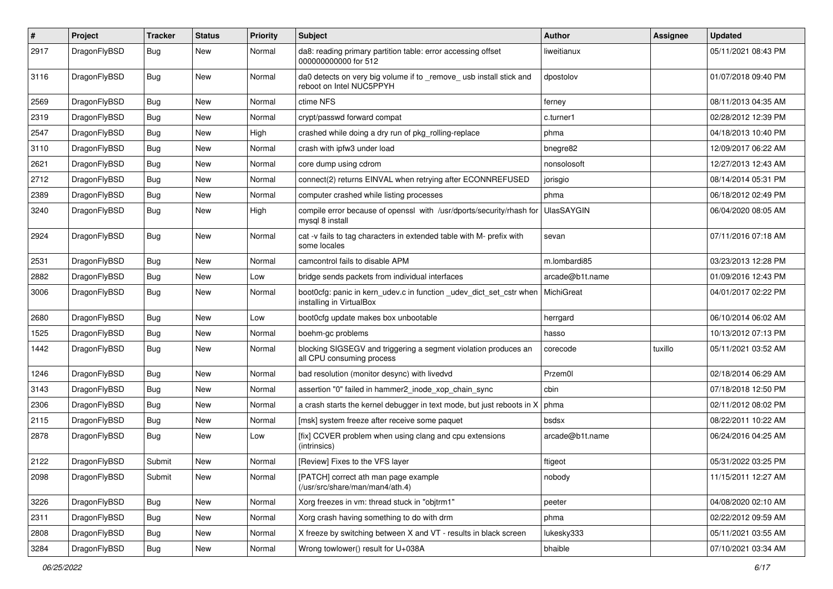| $\pmb{\#}$ | Project      | <b>Tracker</b> | <b>Status</b> | <b>Priority</b> | Subject                                                                                         | Author            | <b>Assignee</b> | <b>Updated</b>      |
|------------|--------------|----------------|---------------|-----------------|-------------------------------------------------------------------------------------------------|-------------------|-----------------|---------------------|
| 2917       | DragonFlyBSD | Bug            | <b>New</b>    | Normal          | da8: reading primary partition table: error accessing offset<br>000000000000 for 512            | liweitianux       |                 | 05/11/2021 08:43 PM |
| 3116       | DragonFlyBSD | Bug            | <b>New</b>    | Normal          | da0 detects on very big volume if to _remove_ usb install stick and<br>reboot on Intel NUC5PPYH | dpostolov         |                 | 01/07/2018 09:40 PM |
| 2569       | DragonFlyBSD | <b>Bug</b>     | <b>New</b>    | Normal          | ctime NFS                                                                                       | ferney            |                 | 08/11/2013 04:35 AM |
| 2319       | DragonFlyBSD | <b>Bug</b>     | New           | Normal          | crypt/passwd forward compat                                                                     | c.turner1         |                 | 02/28/2012 12:39 PM |
| 2547       | DragonFlyBSD | Bug            | <b>New</b>    | High            | crashed while doing a dry run of pkg_rolling-replace                                            | phma              |                 | 04/18/2013 10:40 PM |
| 3110       | DragonFlyBSD | <b>Bug</b>     | New           | Normal          | crash with ipfw3 under load                                                                     | bnegre82          |                 | 12/09/2017 06:22 AM |
| 2621       | DragonFlyBSD | <b>Bug</b>     | New           | Normal          | core dump using cdrom                                                                           | nonsolosoft       |                 | 12/27/2013 12:43 AM |
| 2712       | DragonFlyBSD | <b>Bug</b>     | <b>New</b>    | Normal          | connect(2) returns EINVAL when retrying after ECONNREFUSED                                      | jorisgio          |                 | 08/14/2014 05:31 PM |
| 2389       | DragonFlyBSD | <b>Bug</b>     | New           | Normal          | computer crashed while listing processes                                                        | phma              |                 | 06/18/2012 02:49 PM |
| 3240       | DragonFlyBSD | Bug            | New           | High            | compile error because of openssl with /usr/dports/security/rhash for<br>mysql 8 install         | <b>UlasSAYGIN</b> |                 | 06/04/2020 08:05 AM |
| 2924       | DragonFlyBSD | Bug            | <b>New</b>    | Normal          | cat -v fails to tag characters in extended table with M- prefix with<br>some locales            | sevan             |                 | 07/11/2016 07:18 AM |
| 2531       | DragonFlyBSD | Bug            | <b>New</b>    | Normal          | camcontrol fails to disable APM                                                                 | m.lombardi85      |                 | 03/23/2013 12:28 PM |
| 2882       | DragonFlyBSD | <b>Bug</b>     | New           | Low             | bridge sends packets from individual interfaces                                                 | arcade@b1t.name   |                 | 01/09/2016 12:43 PM |
| 3006       | DragonFlyBSD | <b>Bug</b>     | <b>New</b>    | Normal          | boot0cfg: panic in kern_udev.c in function _udev_dict_set_cstr when<br>installing in VirtualBox | MichiGreat        |                 | 04/01/2017 02:22 PM |
| 2680       | DragonFlyBSD | <b>Bug</b>     | <b>New</b>    | Low             | boot0cfg update makes box unbootable                                                            | herrgard          |                 | 06/10/2014 06:02 AM |
| 1525       | DragonFlyBSD | <b>Bug</b>     | New           | Normal          | boehm-gc problems                                                                               | hasso             |                 | 10/13/2012 07:13 PM |
| 1442       | DragonFlyBSD | Bug            | New           | Normal          | blocking SIGSEGV and triggering a segment violation produces an<br>all CPU consuming process    | corecode          | tuxillo         | 05/11/2021 03:52 AM |
| 1246       | DragonFlyBSD | Bug            | New           | Normal          | bad resolution (monitor desync) with livedvd                                                    | Przem0l           |                 | 02/18/2014 06:29 AM |
| 3143       | DragonFlyBSD | <b>Bug</b>     | New           | Normal          | assertion "0" failed in hammer2 inode xop chain sync                                            | cbin              |                 | 07/18/2018 12:50 PM |
| 2306       | DragonFlyBSD | <b>Bug</b>     | <b>New</b>    | Normal          | a crash starts the kernel debugger in text mode, but just reboots in X                          | phma              |                 | 02/11/2012 08:02 PM |
| 2115       | DragonFlyBSD | <b>Bug</b>     | New           | Normal          | [msk] system freeze after receive some paquet                                                   | bsdsx             |                 | 08/22/2011 10:22 AM |
| 2878       | DragonFlyBSD | Bug            | New           | Low             | [fix] CCVER problem when using clang and cpu extensions<br>(intrinsics)                         | arcade@b1t.name   |                 | 06/24/2016 04:25 AM |
| 2122       | DragonFlyBSD | Submit         | <b>New</b>    | Normal          | [Review] Fixes to the VFS layer                                                                 | ftigeot           |                 | 05/31/2022 03:25 PM |
| 2098       | DragonFlyBSD | Submit         | New           | Normal          | [PATCH] correct ath man page example<br>(/usr/src/share/man/man4/ath.4)                         | nobody            |                 | 11/15/2011 12:27 AM |
| 3226       | DragonFlyBSD | <b>Bug</b>     | New           | Normal          | Xorg freezes in vm: thread stuck in "objtrm1"                                                   | peeter            |                 | 04/08/2020 02:10 AM |
| 2311       | DragonFlyBSD | Bug            | New           | Normal          | Xorg crash having something to do with drm                                                      | phma              |                 | 02/22/2012 09:59 AM |
| 2808       | DragonFlyBSD | <b>Bug</b>     | New           | Normal          | X freeze by switching between X and VT - results in black screen                                | lukesky333        |                 | 05/11/2021 03:55 AM |
| 3284       | DragonFlyBSD | Bug            | New           | Normal          | Wrong towlower() result for U+038A                                                              | bhaible           |                 | 07/10/2021 03:34 AM |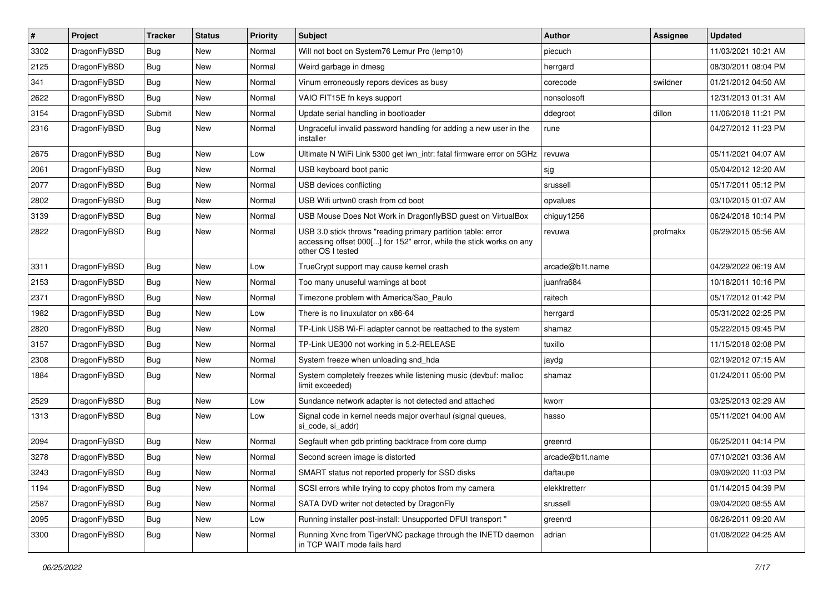| ∦    | Project      | <b>Tracker</b> | <b>Status</b> | <b>Priority</b> | <b>Subject</b>                                                                                                                                           | <b>Author</b>   | Assignee | <b>Updated</b>      |
|------|--------------|----------------|---------------|-----------------|----------------------------------------------------------------------------------------------------------------------------------------------------------|-----------------|----------|---------------------|
| 3302 | DragonFlyBSD | Bug            | <b>New</b>    | Normal          | Will not boot on System76 Lemur Pro (lemp10)                                                                                                             | piecuch         |          | 11/03/2021 10:21 AM |
| 2125 | DragonFlyBSD | <b>Bug</b>     | <b>New</b>    | Normal          | Weird garbage in dmesg                                                                                                                                   | herrgard        |          | 08/30/2011 08:04 PM |
| 341  | DragonFlyBSD | <b>Bug</b>     | <b>New</b>    | Normal          | Vinum erroneously repors devices as busy                                                                                                                 | corecode        | swildner | 01/21/2012 04:50 AM |
| 2622 | DragonFlyBSD | Bug            | <b>New</b>    | Normal          | VAIO FIT15E fn keys support                                                                                                                              | nonsolosoft     |          | 12/31/2013 01:31 AM |
| 3154 | DragonFlyBSD | Submit         | <b>New</b>    | Normal          | Update serial handling in bootloader                                                                                                                     | ddegroot        | dillon   | 11/06/2018 11:21 PM |
| 2316 | DragonFlyBSD | Bug            | New           | Normal          | Ungraceful invalid password handling for adding a new user in the<br>installer                                                                           | rune            |          | 04/27/2012 11:23 PM |
| 2675 | DragonFlyBSD | Bug            | <b>New</b>    | Low             | Ultimate N WiFi Link 5300 get iwn_intr: fatal firmware error on 5GHz                                                                                     | revuwa          |          | 05/11/2021 04:07 AM |
| 2061 | DragonFlyBSD | <b>Bug</b>     | <b>New</b>    | Normal          | USB keyboard boot panic                                                                                                                                  | sjg             |          | 05/04/2012 12:20 AM |
| 2077 | DragonFlyBSD | Bug            | <b>New</b>    | Normal          | USB devices conflicting                                                                                                                                  | srussell        |          | 05/17/2011 05:12 PM |
| 2802 | DragonFlyBSD | <b>Bug</b>     | <b>New</b>    | Normal          | USB Wifi urtwn0 crash from cd boot                                                                                                                       | opvalues        |          | 03/10/2015 01:07 AM |
| 3139 | DragonFlyBSD | Bug            | <b>New</b>    | Normal          | USB Mouse Does Not Work in DragonflyBSD guest on VirtualBox                                                                                              | chiguy1256      |          | 06/24/2018 10:14 PM |
| 2822 | DragonFlyBSD | Bug            | New           | Normal          | USB 3.0 stick throws "reading primary partition table: error<br>accessing offset 000[] for 152" error, while the stick works on any<br>other OS I tested | revuwa          | profmakx | 06/29/2015 05:56 AM |
| 3311 | DragonFlyBSD | <b>Bug</b>     | <b>New</b>    | Low             | TrueCrypt support may cause kernel crash                                                                                                                 | arcade@b1t.name |          | 04/29/2022 06:19 AM |
| 2153 | DragonFlyBSD | <b>Bug</b>     | <b>New</b>    | Normal          | Too many unuseful warnings at boot                                                                                                                       | juanfra684      |          | 10/18/2011 10:16 PM |
| 2371 | DragonFlyBSD | <b>Bug</b>     | <b>New</b>    | Normal          | Timezone problem with America/Sao_Paulo                                                                                                                  | raitech         |          | 05/17/2012 01:42 PM |
| 1982 | DragonFlyBSD | Bug            | <b>New</b>    | Low             | There is no linuxulator on x86-64                                                                                                                        | herrgard        |          | 05/31/2022 02:25 PM |
| 2820 | DragonFlyBSD | Bug            | New           | Normal          | TP-Link USB Wi-Fi adapter cannot be reattached to the system                                                                                             | shamaz          |          | 05/22/2015 09:45 PM |
| 3157 | DragonFlyBSD | <b>Bug</b>     | <b>New</b>    | Normal          | TP-Link UE300 not working in 5.2-RELEASE                                                                                                                 | tuxillo         |          | 11/15/2018 02:08 PM |
| 2308 | DragonFlyBSD | Bug            | <b>New</b>    | Normal          | System freeze when unloading snd_hda                                                                                                                     | jaydg           |          | 02/19/2012 07:15 AM |
| 1884 | DragonFlyBSD | <b>Bug</b>     | New           | Normal          | System completely freezes while listening music (devbuf: malloc<br>limit exceeded)                                                                       | shamaz          |          | 01/24/2011 05:00 PM |
| 2529 | DragonFlyBSD | Bug            | <b>New</b>    | Low             | Sundance network adapter is not detected and attached                                                                                                    | kworr           |          | 03/25/2013 02:29 AM |
| 1313 | DragonFlyBSD | Bug            | <b>New</b>    | Low             | Signal code in kernel needs major overhaul (signal queues,<br>si code, si addr)                                                                          | hasso           |          | 05/11/2021 04:00 AM |
| 2094 | DragonFlyBSD | Bug            | <b>New</b>    | Normal          | Segfault when gdb printing backtrace from core dump                                                                                                      | greenrd         |          | 06/25/2011 04:14 PM |
| 3278 | DragonFlyBSD | <b>Bug</b>     | <b>New</b>    | Normal          | Second screen image is distorted                                                                                                                         | arcade@b1t.name |          | 07/10/2021 03:36 AM |
| 3243 | DragonFlyBSD | <b>Bug</b>     | New           | Normal          | SMART status not reported properly for SSD disks                                                                                                         | daftaupe        |          | 09/09/2020 11:03 PM |
| 1194 | DragonFlyBSD | Bug            | <b>New</b>    | Normal          | SCSI errors while trying to copy photos from my camera                                                                                                   | elekktretterr   |          | 01/14/2015 04:39 PM |
| 2587 | DragonFlyBSD | <b>Bug</b>     | New           | Normal          | SATA DVD writer not detected by DragonFly                                                                                                                | srussell        |          | 09/04/2020 08:55 AM |
| 2095 | DragonFlyBSD | <b>Bug</b>     | New           | Low             | Running installer post-install: Unsupported DFUI transport "                                                                                             | greenrd         |          | 06/26/2011 09:20 AM |
| 3300 | DragonFlyBSD | <b>Bug</b>     | New           | Normal          | Running Xvnc from TigerVNC package through the INETD daemon<br>in TCP WAIT mode fails hard                                                               | adrian          |          | 01/08/2022 04:25 AM |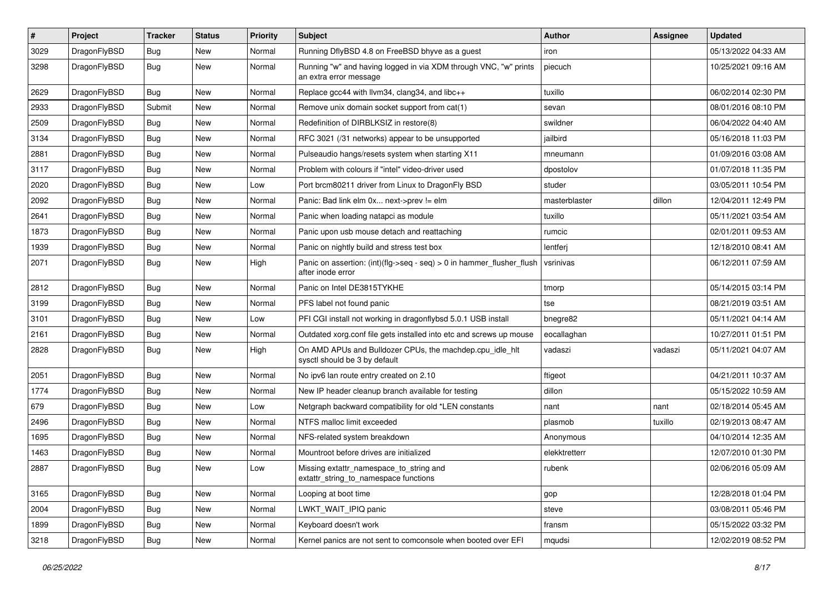| $\pmb{\#}$ | Project      | <b>Tracker</b> | <b>Status</b> | <b>Priority</b> | Subject                                                                                    | Author        | Assignee | <b>Updated</b>      |
|------------|--------------|----------------|---------------|-----------------|--------------------------------------------------------------------------------------------|---------------|----------|---------------------|
| 3029       | DragonFlyBSD | Bug            | New           | Normal          | Running DflyBSD 4.8 on FreeBSD bhyve as a guest                                            | iron          |          | 05/13/2022 04:33 AM |
| 3298       | DragonFlyBSD | Bug            | New           | Normal          | Running "w" and having logged in via XDM through VNC, "w" prints<br>an extra error message | piecuch       |          | 10/25/2021 09:16 AM |
| 2629       | DragonFlyBSD | Bug            | <b>New</b>    | Normal          | Replace gcc44 with llvm34, clang34, and libc++                                             | tuxillo       |          | 06/02/2014 02:30 PM |
| 2933       | DragonFlyBSD | Submit         | <b>New</b>    | Normal          | Remove unix domain socket support from cat(1)                                              | sevan         |          | 08/01/2016 08:10 PM |
| 2509       | DragonFlyBSD | Bug            | New           | Normal          | Redefinition of DIRBLKSIZ in restore(8)                                                    | swildner      |          | 06/04/2022 04:40 AM |
| 3134       | DragonFlyBSD | Bug            | <b>New</b>    | Normal          | RFC 3021 (/31 networks) appear to be unsupported                                           | jailbird      |          | 05/16/2018 11:03 PM |
| 2881       | DragonFlyBSD | Bug            | New           | Normal          | Pulseaudio hangs/resets system when starting X11                                           | mneumann      |          | 01/09/2016 03:08 AM |
| 3117       | DragonFlyBSD | Bug            | New           | Normal          | Problem with colours if "intel" video-driver used                                          | dpostolov     |          | 01/07/2018 11:35 PM |
| 2020       | DragonFlyBSD | Bug            | <b>New</b>    | Low             | Port brcm80211 driver from Linux to DragonFly BSD                                          | studer        |          | 03/05/2011 10:54 PM |
| 2092       | DragonFlyBSD | Bug            | New           | Normal          | Panic: Bad link elm 0x next->prev != elm                                                   | masterblaster | dillon   | 12/04/2011 12:49 PM |
| 2641       | DragonFlyBSD | Bug            | New           | Normal          | Panic when loading natapci as module                                                       | tuxillo       |          | 05/11/2021 03:54 AM |
| 1873       | DragonFlyBSD | Bug            | <b>New</b>    | Normal          | Panic upon usb mouse detach and reattaching                                                | rumcic        |          | 02/01/2011 09:53 AM |
| 1939       | DragonFlyBSD | Bug            | <b>New</b>    | Normal          | Panic on nightly build and stress test box                                                 | lentferj      |          | 12/18/2010 08:41 AM |
| 2071       | DragonFlyBSD | Bug            | New           | High            | Panic on assertion: (int)(flg->seq - seq) > 0 in hammer_flusher_flush<br>after inode error | vsrinivas     |          | 06/12/2011 07:59 AM |
| 2812       | DragonFlyBSD | <b>Bug</b>     | <b>New</b>    | Normal          | Panic on Intel DE3815TYKHE                                                                 | tmorp         |          | 05/14/2015 03:14 PM |
| 3199       | DragonFlyBSD | <b>Bug</b>     | <b>New</b>    | Normal          | PFS label not found panic                                                                  | tse           |          | 08/21/2019 03:51 AM |
| 3101       | DragonFlyBSD | <b>Bug</b>     | New           | Low             | PFI CGI install not working in dragonflybsd 5.0.1 USB install                              | bnegre82      |          | 05/11/2021 04:14 AM |
| 2161       | DragonFlyBSD | Bug            | New           | Normal          | Outdated xorg.conf file gets installed into etc and screws up mouse                        | eocallaghan   |          | 10/27/2011 01:51 PM |
| 2828       | DragonFlyBSD | Bug            | New           | High            | On AMD APUs and Bulldozer CPUs, the machdep.cpu_idle_hlt<br>sysctl should be 3 by default  | vadaszi       | vadaszi  | 05/11/2021 04:07 AM |
| 2051       | DragonFlyBSD | Bug            | <b>New</b>    | Normal          | No ipv6 lan route entry created on 2.10                                                    | ftigeot       |          | 04/21/2011 10:37 AM |
| 1774       | DragonFlyBSD | Bug            | New           | Normal          | New IP header cleanup branch available for testing                                         | dillon        |          | 05/15/2022 10:59 AM |
| 679        | DragonFlyBSD | Bug            | <b>New</b>    | Low             | Netgraph backward compatibility for old *LEN constants                                     | nant          | nant     | 02/18/2014 05:45 AM |
| 2496       | DragonFlyBSD | <b>Bug</b>     | <b>New</b>    | Normal          | NTFS malloc limit exceeded                                                                 | plasmob       | tuxillo  | 02/19/2013 08:47 AM |
| 1695       | DragonFlyBSD | <b>Bug</b>     | <b>New</b>    | Normal          | NFS-related system breakdown                                                               | Anonymous     |          | 04/10/2014 12:35 AM |
| 1463       | DragonFlyBSD | <b>Bug</b>     | New           | Normal          | Mountroot before drives are initialized                                                    | elekktretterr |          | 12/07/2010 01:30 PM |
| 2887       | DragonFlyBSD | <b>Bug</b>     | New           | Low             | Missing extattr_namespace_to_string and<br>extattr_string_to_namespace functions           | rubenk        |          | 02/06/2016 05:09 AM |
| 3165       | DragonFlyBSD | Bug            | <b>New</b>    | Normal          | Looping at boot time                                                                       | gop           |          | 12/28/2018 01:04 PM |
| 2004       | DragonFlyBSD | <b>Bug</b>     | New           | Normal          | LWKT_WAIT_IPIQ panic                                                                       | steve         |          | 03/08/2011 05:46 PM |
| 1899       | DragonFlyBSD | Bug            | New           | Normal          | Keyboard doesn't work                                                                      | fransm        |          | 05/15/2022 03:32 PM |
| 3218       | DragonFlyBSD | Bug            | New           | Normal          | Kernel panics are not sent to comconsole when booted over EFI                              | mqudsi        |          | 12/02/2019 08:52 PM |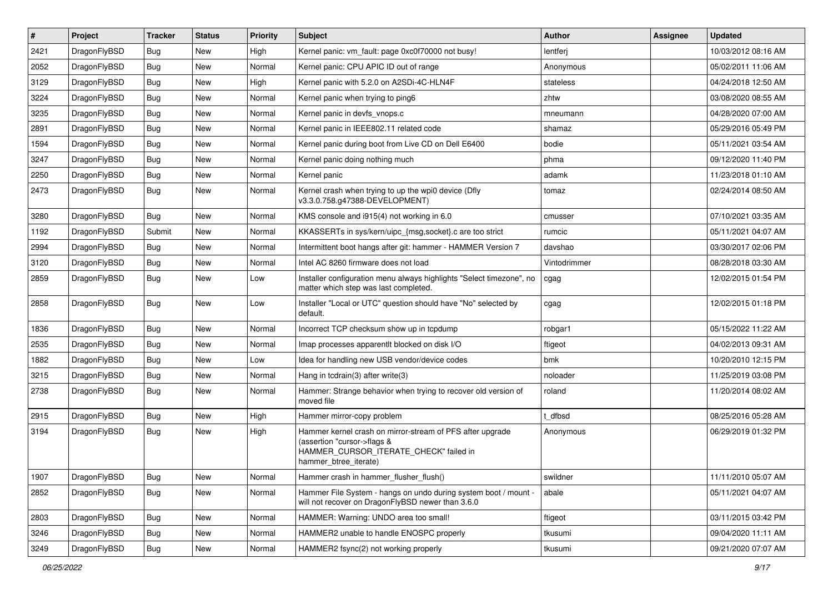| $\vert$ # | Project      | <b>Tracker</b> | <b>Status</b> | <b>Priority</b> | Subject                                                                                                                                                     | Author       | Assignee | <b>Updated</b>      |
|-----------|--------------|----------------|---------------|-----------------|-------------------------------------------------------------------------------------------------------------------------------------------------------------|--------------|----------|---------------------|
| 2421      | DragonFlyBSD | Bug            | New           | High            | Kernel panic: vm_fault: page 0xc0f70000 not busy!                                                                                                           | lentferj     |          | 10/03/2012 08:16 AM |
| 2052      | DragonFlyBSD | Bug            | <b>New</b>    | Normal          | Kernel panic: CPU APIC ID out of range                                                                                                                      | Anonymous    |          | 05/02/2011 11:06 AM |
| 3129      | DragonFlyBSD | <b>Bug</b>     | <b>New</b>    | High            | Kernel panic with 5.2.0 on A2SDi-4C-HLN4F                                                                                                                   | stateless    |          | 04/24/2018 12:50 AM |
| 3224      | DragonFlyBSD | <b>Bug</b>     | New           | Normal          | Kernel panic when trying to ping6                                                                                                                           | zhtw         |          | 03/08/2020 08:55 AM |
| 3235      | DragonFlyBSD | Bug            | <b>New</b>    | Normal          | Kernel panic in devfs vnops.c                                                                                                                               | mneumann     |          | 04/28/2020 07:00 AM |
| 2891      | DragonFlyBSD | <b>Bug</b>     | New           | Normal          | Kernel panic in IEEE802.11 related code                                                                                                                     | shamaz       |          | 05/29/2016 05:49 PM |
| 1594      | DragonFlyBSD | <b>Bug</b>     | New           | Normal          | Kernel panic during boot from Live CD on Dell E6400                                                                                                         | bodie        |          | 05/11/2021 03:54 AM |
| 3247      | DragonFlyBSD | <b>Bug</b>     | <b>New</b>    | Normal          | Kernel panic doing nothing much                                                                                                                             | phma         |          | 09/12/2020 11:40 PM |
| 2250      | DragonFlyBSD | <b>Bug</b>     | New           | Normal          | Kernel panic                                                                                                                                                | adamk        |          | 11/23/2018 01:10 AM |
| 2473      | DragonFlyBSD | <b>Bug</b>     | New           | Normal          | Kernel crash when trying to up the wpi0 device (Dfly<br>v3.3.0.758.g47388-DEVELOPMENT)                                                                      | tomaz        |          | 02/24/2014 08:50 AM |
| 3280      | DragonFlyBSD | <b>Bug</b>     | New           | Normal          | KMS console and i915(4) not working in 6.0                                                                                                                  | cmusser      |          | 07/10/2021 03:35 AM |
| 1192      | DragonFlyBSD | Submit         | New           | Normal          | KKASSERTs in sys/kern/uipc_{msg,socket}.c are too strict                                                                                                    | rumcic       |          | 05/11/2021 04:07 AM |
| 2994      | DragonFlyBSD | <b>Bug</b>     | <b>New</b>    | Normal          | Intermittent boot hangs after git: hammer - HAMMER Version 7                                                                                                | davshao      |          | 03/30/2017 02:06 PM |
| 3120      | DragonFlyBSD | <b>Bug</b>     | <b>New</b>    | Normal          | Intel AC 8260 firmware does not load                                                                                                                        | Vintodrimmer |          | 08/28/2018 03:30 AM |
| 2859      | DragonFlyBSD | <b>Bug</b>     | <b>New</b>    | Low             | Installer configuration menu always highlights "Select timezone", no<br>matter which step was last completed.                                               | cgag         |          | 12/02/2015 01:54 PM |
| 2858      | DragonFlyBSD | <b>Bug</b>     | New           | Low             | Installer "Local or UTC" question should have "No" selected by<br>default.                                                                                  | cgag         |          | 12/02/2015 01:18 PM |
| 1836      | DragonFlyBSD | <b>Bug</b>     | <b>New</b>    | Normal          | Incorrect TCP checksum show up in tcpdump                                                                                                                   | robgar1      |          | 05/15/2022 11:22 AM |
| 2535      | DragonFlyBSD | <b>Bug</b>     | <b>New</b>    | Normal          | Imap processes apparentlt blocked on disk I/O                                                                                                               | ftigeot      |          | 04/02/2013 09:31 AM |
| 1882      | DragonFlyBSD | <b>Bug</b>     | New           | Low             | Idea for handling new USB vendor/device codes                                                                                                               | bmk          |          | 10/20/2010 12:15 PM |
| 3215      | DragonFlyBSD | <b>Bug</b>     | New           | Normal          | Hang in tcdrain(3) after write(3)                                                                                                                           | noloader     |          | 11/25/2019 03:08 PM |
| 2738      | DragonFlyBSD | <b>Bug</b>     | <b>New</b>    | Normal          | Hammer: Strange behavior when trying to recover old version of<br>moved file                                                                                | roland       |          | 11/20/2014 08:02 AM |
| 2915      | DragonFlyBSD | Bug            | New           | High            | Hammer mirror-copy problem                                                                                                                                  | t_dfbsd      |          | 08/25/2016 05:28 AM |
| 3194      | DragonFlyBSD | <b>Bug</b>     | <b>New</b>    | High            | Hammer kernel crash on mirror-stream of PFS after upgrade<br>(assertion "cursor->flags &<br>HAMMER_CURSOR_ITERATE_CHECK" failed in<br>hammer_btree_iterate) | Anonymous    |          | 06/29/2019 01:32 PM |
| 1907      | DragonFlyBSD | Bug            | New           | Normal          | Hammer crash in hammer flusher flush()                                                                                                                      | swildner     |          | 11/11/2010 05:07 AM |
| 2852      | DragonFlyBSD | <b>Bug</b>     | New           | Normal          | Hammer File System - hangs on undo during system boot / mount -<br>will not recover on DragonFlyBSD newer than 3.6.0                                        | abale        |          | 05/11/2021 04:07 AM |
| 2803      | DragonFlyBSD | <b>Bug</b>     | <b>New</b>    | Normal          | HAMMER: Warning: UNDO area too small!                                                                                                                       | ftigeot      |          | 03/11/2015 03:42 PM |
| 3246      | DragonFlyBSD | Bug            | New           | Normal          | HAMMER2 unable to handle ENOSPC properly                                                                                                                    | tkusumi      |          | 09/04/2020 11:11 AM |
| 3249      | DragonFlyBSD | <b>Bug</b>     | New           | Normal          | HAMMER2 fsync(2) not working properly                                                                                                                       | tkusumi      |          | 09/21/2020 07:07 AM |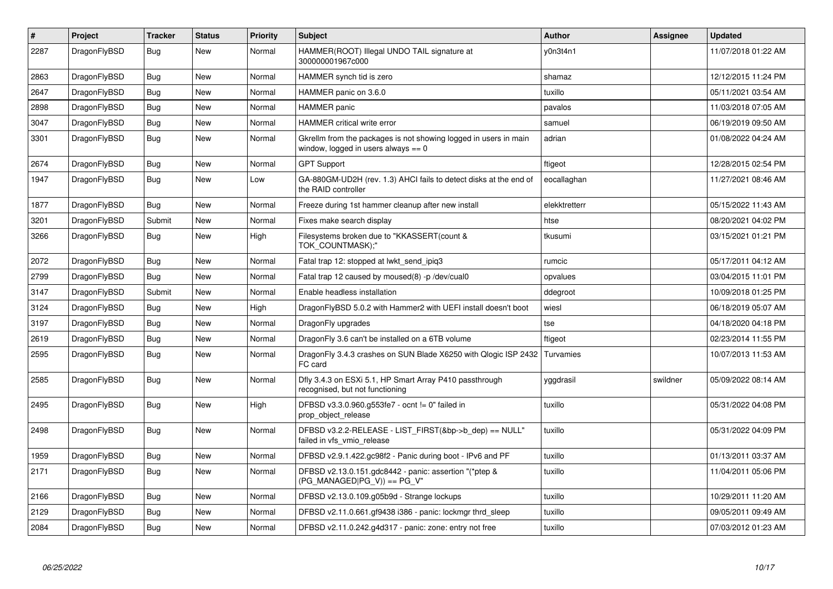| $\vert$ # | Project      | <b>Tracker</b> | <b>Status</b> | <b>Priority</b> | <b>Subject</b>                                                                                            | <b>Author</b> | Assignee | <b>Updated</b>      |
|-----------|--------------|----------------|---------------|-----------------|-----------------------------------------------------------------------------------------------------------|---------------|----------|---------------------|
| 2287      | DragonFlyBSD | Bug            | <b>New</b>    | Normal          | HAMMER(ROOT) Illegal UNDO TAIL signature at<br>300000001967c000                                           | v0n3t4n1      |          | 11/07/2018 01:22 AM |
| 2863      | DragonFlyBSD | Bug            | New           | Normal          | HAMMER synch tid is zero                                                                                  | shamaz        |          | 12/12/2015 11:24 PM |
| 2647      | DragonFlyBSD | Bug            | <b>New</b>    | Normal          | HAMMER panic on 3.6.0                                                                                     | tuxillo       |          | 05/11/2021 03:54 AM |
| 2898      | DragonFlyBSD | <b>Bug</b>     | <b>New</b>    | Normal          | <b>HAMMER</b> panic                                                                                       | pavalos       |          | 11/03/2018 07:05 AM |
| 3047      | DragonFlyBSD | <b>Bug</b>     | <b>New</b>    | Normal          | <b>HAMMER critical write error</b>                                                                        | samuel        |          | 06/19/2019 09:50 AM |
| 3301      | DragonFlyBSD | <b>Bug</b>     | <b>New</b>    | Normal          | Gkrellm from the packages is not showing logged in users in main<br>window, logged in users always $== 0$ | adrian        |          | 01/08/2022 04:24 AM |
| 2674      | DragonFlyBSD | <b>Bug</b>     | <b>New</b>    | Normal          | <b>GPT Support</b>                                                                                        | ftigeot       |          | 12/28/2015 02:54 PM |
| 1947      | DragonFlyBSD | Bug            | <b>New</b>    | Low             | GA-880GM-UD2H (rev. 1.3) AHCI fails to detect disks at the end of<br>the RAID controller                  | eocallaghan   |          | 11/27/2021 08:46 AM |
| 1877      | DragonFlyBSD | Bug            | <b>New</b>    | Normal          | Freeze during 1st hammer cleanup after new install                                                        | elekktretterr |          | 05/15/2022 11:43 AM |
| 3201      | DragonFlyBSD | Submit         | <b>New</b>    | Normal          | Fixes make search display                                                                                 | htse          |          | 08/20/2021 04:02 PM |
| 3266      | DragonFlyBSD | <b>Bug</b>     | <b>New</b>    | High            | Filesystems broken due to "KKASSERT(count &<br>TOK COUNTMASK);"                                           | tkusumi       |          | 03/15/2021 01:21 PM |
| 2072      | DragonFlyBSD | <b>Bug</b>     | <b>New</b>    | Normal          | Fatal trap 12: stopped at lwkt_send_ipiq3                                                                 | rumcic        |          | 05/17/2011 04:12 AM |
| 2799      | DragonFlyBSD | Bug            | New           | Normal          | Fatal trap 12 caused by moused(8) -p/dev/cual0                                                            | opvalues      |          | 03/04/2015 11:01 PM |
| 3147      | DragonFlyBSD | Submit         | New           | Normal          | Enable headless installation                                                                              | ddegroot      |          | 10/09/2018 01:25 PM |
| 3124      | DragonFlyBSD | Bug            | New           | High            | DragonFlyBSD 5.0.2 with Hammer2 with UEFI install doesn't boot                                            | wiesl         |          | 06/18/2019 05:07 AM |
| 3197      | DragonFlyBSD | Bug            | New           | Normal          | DragonFly upgrades                                                                                        | tse           |          | 04/18/2020 04:18 PM |
| 2619      | DragonFlyBSD | <b>Bug</b>     | <b>New</b>    | Normal          | DragonFly 3.6 can't be installed on a 6TB volume                                                          | ftigeot       |          | 02/23/2014 11:55 PM |
| 2595      | DragonFlyBSD | Bug            | New           | Normal          | DragonFly 3.4.3 crashes on SUN Blade X6250 with Qlogic ISP 2432<br>FC card                                | Turvamies     |          | 10/07/2013 11:53 AM |
| 2585      | DragonFlyBSD | <b>Bug</b>     | <b>New</b>    | Normal          | Dfly 3.4.3 on ESXi 5.1, HP Smart Array P410 passthrough<br>recognised, but not functioning                | yggdrasil     | swildner | 05/09/2022 08:14 AM |
| 2495      | DragonFlyBSD | <b>Bug</b>     | <b>New</b>    | High            | DFBSD v3.3.0.960.g553fe7 - ocnt != 0" failed in<br>prop object release                                    | tuxillo       |          | 05/31/2022 04:08 PM |
| 2498      | DragonFlyBSD | <b>Bug</b>     | New           | Normal          | DFBSD v3.2.2-RELEASE - LIST_FIRST(&bp->b_dep) == NULL"<br>failed in vfs vmio release                      | tuxillo       |          | 05/31/2022 04:09 PM |
| 1959      | DragonFlyBSD | <b>Bug</b>     | New           | Normal          | DFBSD v2.9.1.422.gc98f2 - Panic during boot - IPv6 and PF                                                 | tuxillo       |          | 01/13/2011 03:37 AM |
| 2171      | DragonFlyBSD | <b>Bug</b>     | New           | Normal          | DFBSD v2.13.0.151.gdc8442 - panic: assertion "(*ptep &<br>$(PG_MANAGED PG_V)) == PG_V"$                   | tuxillo       |          | 11/04/2011 05:06 PM |
| 2166      | DragonFlyBSD | <b>Bug</b>     | <b>New</b>    | Normal          | DFBSD v2.13.0.109.g05b9d - Strange lockups                                                                | tuxillo       |          | 10/29/2011 11:20 AM |
| 2129      | DragonFlyBSD | Bug            | New           | Normal          | DFBSD v2.11.0.661.gf9438 i386 - panic: lockmgr thrd sleep                                                 | tuxillo       |          | 09/05/2011 09:49 AM |
| 2084      | DragonFlyBSD | Bug            | New           | Normal          | DFBSD v2.11.0.242.g4d317 - panic: zone: entry not free                                                    | tuxillo       |          | 07/03/2012 01:23 AM |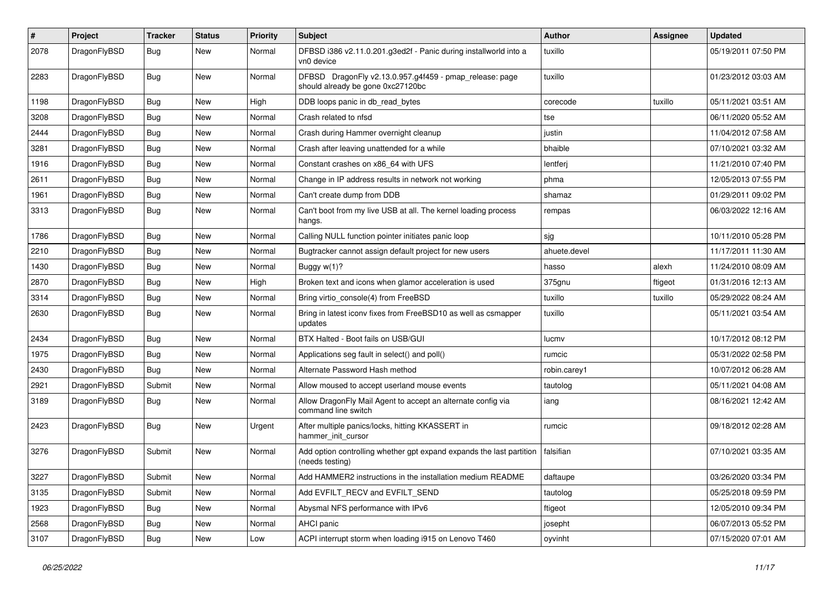| $\pmb{\#}$ | Project      | <b>Tracker</b> | <b>Status</b> | <b>Priority</b> | Subject                                                                                      | Author       | <b>Assignee</b> | <b>Updated</b>      |
|------------|--------------|----------------|---------------|-----------------|----------------------------------------------------------------------------------------------|--------------|-----------------|---------------------|
| 2078       | DragonFlyBSD | Bug            | New           | Normal          | DFBSD i386 v2.11.0.201.g3ed2f - Panic during installworld into a<br>vn0 device               | tuxillo      |                 | 05/19/2011 07:50 PM |
| 2283       | DragonFlyBSD | Bug            | <b>New</b>    | Normal          | DFBSD DragonFly v2.13.0.957.g4f459 - pmap_release: page<br>should already be gone 0xc27120bc | tuxillo      |                 | 01/23/2012 03:03 AM |
| 1198       | DragonFlyBSD | <b>Bug</b>     | <b>New</b>    | High            | DDB loops panic in db_read_bytes                                                             | corecode     | tuxillo         | 05/11/2021 03:51 AM |
| 3208       | DragonFlyBSD | <b>Bug</b>     | New           | Normal          | Crash related to nfsd                                                                        | tse          |                 | 06/11/2020 05:52 AM |
| 2444       | DragonFlyBSD | Bug            | <b>New</b>    | Normal          | Crash during Hammer overnight cleanup                                                        | justin       |                 | 11/04/2012 07:58 AM |
| 3281       | DragonFlyBSD | <b>Bug</b>     | New           | Normal          | Crash after leaving unattended for a while                                                   | bhaible      |                 | 07/10/2021 03:32 AM |
| 1916       | DragonFlyBSD | <b>Bug</b>     | <b>New</b>    | Normal          | Constant crashes on x86 64 with UFS                                                          | lentferj     |                 | 11/21/2010 07:40 PM |
| 2611       | DragonFlyBSD | <b>Bug</b>     | <b>New</b>    | Normal          | Change in IP address results in network not working                                          | phma         |                 | 12/05/2013 07:55 PM |
| 1961       | DragonFlyBSD | <b>Bug</b>     | New           | Normal          | Can't create dump from DDB                                                                   | shamaz       |                 | 01/29/2011 09:02 PM |
| 3313       | DragonFlyBSD | Bug            | New           | Normal          | Can't boot from my live USB at all. The kernel loading process<br>hangs.                     | rempas       |                 | 06/03/2022 12:16 AM |
| 1786       | DragonFlyBSD | <b>Bug</b>     | <b>New</b>    | Normal          | Calling NULL function pointer initiates panic loop                                           | sjg          |                 | 10/11/2010 05:28 PM |
| 2210       | DragonFlyBSD | Bug            | <b>New</b>    | Normal          | Bugtracker cannot assign default project for new users                                       | ahuete.devel |                 | 11/17/2011 11:30 AM |
| 1430       | DragonFlyBSD | <b>Bug</b>     | New           | Normal          | Buggy $w(1)$ ?                                                                               | hasso        | alexh           | 11/24/2010 08:09 AM |
| 2870       | DragonFlyBSD | Bug            | <b>New</b>    | High            | Broken text and icons when glamor acceleration is used                                       | 375gnu       | ftigeot         | 01/31/2016 12:13 AM |
| 3314       | DragonFlyBSD | Bug            | <b>New</b>    | Normal          | Bring virtio_console(4) from FreeBSD                                                         | tuxillo      | tuxillo         | 05/29/2022 08:24 AM |
| 2630       | DragonFlyBSD | <b>Bug</b>     | New           | Normal          | Bring in latest iconv fixes from FreeBSD10 as well as csmapper<br>updates                    | tuxillo      |                 | 05/11/2021 03:54 AM |
| 2434       | DragonFlyBSD | Bug            | New           | Normal          | BTX Halted - Boot fails on USB/GUI                                                           | lucmv        |                 | 10/17/2012 08:12 PM |
| 1975       | DragonFlyBSD | Bug            | New           | Normal          | Applications seg fault in select() and poll()                                                | rumcic       |                 | 05/31/2022 02:58 PM |
| 2430       | DragonFlyBSD | Bug            | <b>New</b>    | Normal          | Alternate Password Hash method                                                               | robin.carey1 |                 | 10/07/2012 06:28 AM |
| 2921       | DragonFlyBSD | Submit         | New           | Normal          | Allow moused to accept userland mouse events                                                 | tautolog     |                 | 05/11/2021 04:08 AM |
| 3189       | DragonFlyBSD | Bug            | New           | Normal          | Allow DragonFly Mail Agent to accept an alternate config via<br>command line switch          | iang         |                 | 08/16/2021 12:42 AM |
| 2423       | DragonFlyBSD | <b>Bug</b>     | <b>New</b>    | Urgent          | After multiple panics/locks, hitting KKASSERT in<br>hammer_init_cursor                       | rumcic       |                 | 09/18/2012 02:28 AM |
| 3276       | DragonFlyBSD | Submit         | New           | Normal          | Add option controlling whether gpt expand expands the last partition<br>(needs testing)      | falsifian    |                 | 07/10/2021 03:35 AM |
| 3227       | DragonFlyBSD | Submit         | <b>New</b>    | Normal          | Add HAMMER2 instructions in the installation medium README                                   | daftaupe     |                 | 03/26/2020 03:34 PM |
| 3135       | DragonFlyBSD | Submit         | New           | Normal          | Add EVFILT_RECV and EVFILT_SEND                                                              | tautolog     |                 | 05/25/2018 09:59 PM |
| 1923       | DragonFlyBSD | <b>Bug</b>     | New           | Normal          | Abysmal NFS performance with IPv6                                                            | ftigeot      |                 | 12/05/2010 09:34 PM |
| 2568       | DragonFlyBSD | Bug            | New           | Normal          | AHCI panic                                                                                   | josepht      |                 | 06/07/2013 05:52 PM |
| 3107       | DragonFlyBSD | <b>Bug</b>     | New           | Low             | ACPI interrupt storm when loading i915 on Lenovo T460                                        | oyvinht      |                 | 07/15/2020 07:01 AM |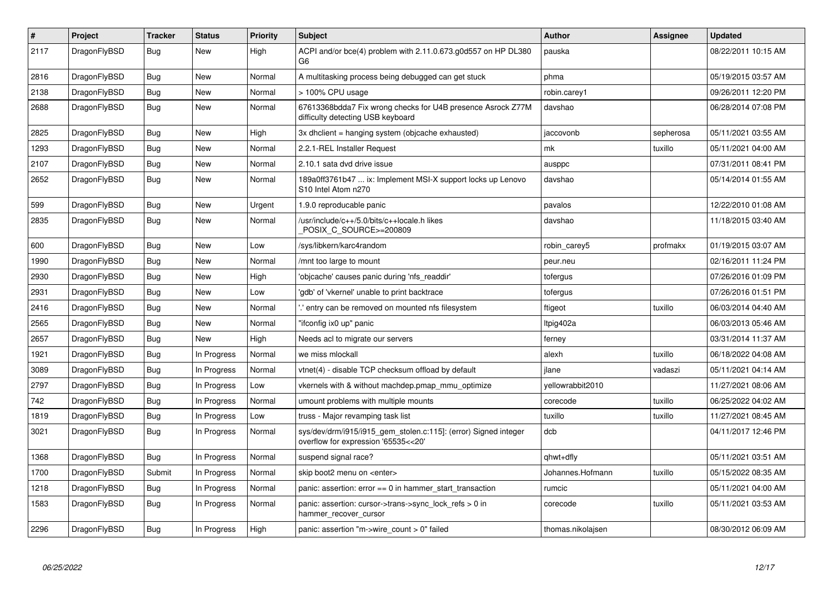| $\vert$ # | <b>Project</b> | <b>Tracker</b> | <b>Status</b> | <b>Priority</b> | <b>Subject</b>                                                                                         | Author            | Assignee  | Updated             |
|-----------|----------------|----------------|---------------|-----------------|--------------------------------------------------------------------------------------------------------|-------------------|-----------|---------------------|
| 2117      | DragonFlyBSD   | Bug            | <b>New</b>    | High            | ACPI and/or bce(4) problem with 2.11.0.673.g0d557 on HP DL380<br>G6                                    | pauska            |           | 08/22/2011 10:15 AM |
| 2816      | DragonFlyBSD   | Bug            | New           | Normal          | A multitasking process being debugged can get stuck                                                    | phma              |           | 05/19/2015 03:57 AM |
| 2138      | DragonFlyBSD   | <b>Bug</b>     | <b>New</b>    | Normal          | > 100% CPU usage                                                                                       | robin.carey1      |           | 09/26/2011 12:20 PM |
| 2688      | DragonFlyBSD   | Bug            | <b>New</b>    | Normal          | 67613368bdda7 Fix wrong checks for U4B presence Asrock Z77M<br>difficulty detecting USB keyboard       | davshao           |           | 06/28/2014 07:08 PM |
| 2825      | DragonFlyBSD   | Bug            | <b>New</b>    | High            | 3x dhclient = hanging system (objcache exhausted)                                                      | jaccovonb         | sepherosa | 05/11/2021 03:55 AM |
| 1293      | DragonFlyBSD   | Bug            | <b>New</b>    | Normal          | 2.2.1-REL Installer Request                                                                            | mk                | tuxillo   | 05/11/2021 04:00 AM |
| 2107      | DragonFlyBSD   | <b>Bug</b>     | New           | Normal          | 2.10.1 sata dvd drive issue                                                                            | ausppc            |           | 07/31/2011 08:41 PM |
| 2652      | DragonFlyBSD   | <b>Bug</b>     | New           | Normal          | 189a0ff3761b47  ix: Implement MSI-X support locks up Lenovo<br>S10 Intel Atom n270                     | davshao           |           | 05/14/2014 01:55 AM |
| 599       | DragonFlyBSD   | Bug            | <b>New</b>    | Urgent          | 1.9.0 reproducable panic                                                                               | pavalos           |           | 12/22/2010 01:08 AM |
| 2835      | DragonFlyBSD   | <b>Bug</b>     | New           | Normal          | /usr/include/c++/5.0/bits/c++locale.h likes<br>POSIX C SOURCE>=200809                                  | davshao           |           | 11/18/2015 03:40 AM |
| 600       | DragonFlyBSD   | <b>Bug</b>     | <b>New</b>    | Low             | /sys/libkern/karc4random                                                                               | robin carey5      | profmakx  | 01/19/2015 03:07 AM |
| 1990      | DragonFlyBSD   | Bug            | New           | Normal          | mnt too large to mount                                                                                 | peur.neu          |           | 02/16/2011 11:24 PM |
| 2930      | DragonFlyBSD   | <b>Bug</b>     | <b>New</b>    | High            | 'objcache' causes panic during 'nfs_readdir'                                                           | tofergus          |           | 07/26/2016 01:09 PM |
| 2931      | DragonFlyBSD   | <b>Bug</b>     | New           | Low             | 'gdb' of 'vkernel' unable to print backtrace                                                           | tofergus          |           | 07/26/2016 01:51 PM |
| 2416      | DragonFlyBSD   | Bug            | New           | Normal          | entry can be removed on mounted nfs filesystem.                                                        | ftigeot           | tuxillo   | 06/03/2014 04:40 AM |
| 2565      | DragonFlyBSD   | Bug            | New           | Normal          | "ifconfig ix0 up" panic                                                                                | Itpig402a         |           | 06/03/2013 05:46 AM |
| 2657      | DragonFlyBSD   | Bug            | New           | High            | Needs acl to migrate our servers                                                                       | ferney            |           | 03/31/2014 11:37 AM |
| 1921      | DragonFlyBSD   | <b>Bug</b>     | In Progress   | Normal          | we miss mlockall                                                                                       | alexh             | tuxillo   | 06/18/2022 04:08 AM |
| 3089      | DragonFlyBSD   | Bug            | In Progress   | Normal          | vtnet(4) - disable TCP checksum offload by default                                                     | ilane             | vadaszi   | 05/11/2021 04:14 AM |
| 2797      | DragonFlyBSD   | <b>Bug</b>     | In Progress   | Low             | vkernels with & without machdep.pmap_mmu_optimize                                                      | yellowrabbit2010  |           | 11/27/2021 08:06 AM |
| 742       | DragonFlyBSD   | Bug            | In Progress   | Normal          | umount problems with multiple mounts                                                                   | corecode          | tuxillo   | 06/25/2022 04:02 AM |
| 1819      | DragonFlyBSD   | Bug            | In Progress   | Low             | truss - Major revamping task list                                                                      | tuxillo           | tuxillo   | 11/27/2021 08:45 AM |
| 3021      | DragonFlyBSD   | <b>Bug</b>     | In Progress   | Normal          | sys/dev/drm/i915/i915_gem_stolen.c:115]: (error) Signed integer<br>overflow for expression '65535<<20' | dcb               |           | 04/11/2017 12:46 PM |
| 1368      | DragonFlyBSD   | <b>Bug</b>     | In Progress   | Normal          | suspend signal race?                                                                                   | qhwt+dfly         |           | 05/11/2021 03:51 AM |
| 1700      | DragonFlyBSD   | Submit         | In Progress   | Normal          | skip boot2 menu on <enter></enter>                                                                     | Johannes.Hofmann  | tuxillo   | 05/15/2022 08:35 AM |
| 1218      | DragonFlyBSD   | <b>Bug</b>     | In Progress   | Normal          | panic: assertion: error == 0 in hammer_start_transaction                                               | rumcic            |           | 05/11/2021 04:00 AM |
| 1583      | DragonFlyBSD   | Bug            | In Progress   | Normal          | panic: assertion: cursor->trans->sync_lock_refs > 0 in<br>hammer recover cursor                        | corecode          | tuxillo   | 05/11/2021 03:53 AM |
| 2296      | DragonFlyBSD   | Bug            | In Progress   | High            | panic: assertion "m->wire count > 0" failed                                                            | thomas.nikolajsen |           | 08/30/2012 06:09 AM |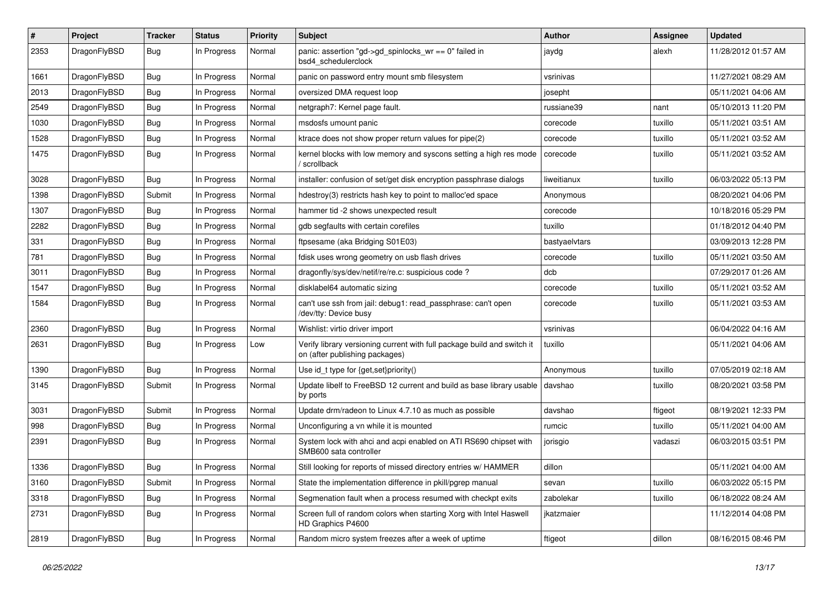| $\#$ | Project      | <b>Tracker</b> | <b>Status</b> | <b>Priority</b> | Subject                                                                                                   | Author        | <b>Assignee</b> | <b>Updated</b>      |
|------|--------------|----------------|---------------|-----------------|-----------------------------------------------------------------------------------------------------------|---------------|-----------------|---------------------|
| 2353 | DragonFlyBSD | Bug            | In Progress   | Normal          | panic: assertion "gd->gd_spinlocks_wr == 0" failed in<br>bsd4_schedulerclock                              | jaydg         | alexh           | 11/28/2012 01:57 AM |
| 1661 | DragonFlyBSD | <b>Bug</b>     | In Progress   | Normal          | panic on password entry mount smb filesystem                                                              | vsrinivas     |                 | 11/27/2021 08:29 AM |
| 2013 | DragonFlyBSD | <b>Bug</b>     | In Progress   | Normal          | oversized DMA request loop                                                                                | josepht       |                 | 05/11/2021 04:06 AM |
| 2549 | DragonFlyBSD | <b>Bug</b>     | In Progress   | Normal          | netgraph7: Kernel page fault.                                                                             | russiane39    | nant            | 05/10/2013 11:20 PM |
| 1030 | DragonFlyBSD | <b>Bug</b>     | In Progress   | Normal          | msdosfs umount panic                                                                                      | corecode      | tuxillo         | 05/11/2021 03:51 AM |
| 1528 | DragonFlyBSD | Bug            | In Progress   | Normal          | ktrace does not show proper return values for pipe(2)                                                     | corecode      | tuxillo         | 05/11/2021 03:52 AM |
| 1475 | DragonFlyBSD | <b>Bug</b>     | In Progress   | Normal          | kernel blocks with low memory and syscons setting a high res mode<br>/ scrollback                         | corecode      | tuxillo         | 05/11/2021 03:52 AM |
| 3028 | DragonFlyBSD | Bug            | In Progress   | Normal          | installer: confusion of set/get disk encryption passphrase dialogs                                        | liweitianux   | tuxillo         | 06/03/2022 05:13 PM |
| 1398 | DragonFlyBSD | Submit         | In Progress   | Normal          | hdestroy(3) restricts hash key to point to malloc'ed space                                                | Anonymous     |                 | 08/20/2021 04:06 PM |
| 1307 | DragonFlyBSD | <b>Bug</b>     | In Progress   | Normal          | hammer tid -2 shows unexpected result                                                                     | corecode      |                 | 10/18/2016 05:29 PM |
| 2282 | DragonFlyBSD | <b>Bug</b>     | In Progress   | Normal          | gdb segfaults with certain corefiles                                                                      | tuxillo       |                 | 01/18/2012 04:40 PM |
| 331  | DragonFlyBSD | Bug            | In Progress   | Normal          | ftpsesame (aka Bridging S01E03)                                                                           | bastyaelvtars |                 | 03/09/2013 12:28 PM |
| 781  | DragonFlyBSD | Bug            | In Progress   | Normal          | fdisk uses wrong geometry on usb flash drives                                                             | corecode      | tuxillo         | 05/11/2021 03:50 AM |
| 3011 | DragonFlyBSD | Bug            | In Progress   | Normal          | dragonfly/sys/dev/netif/re/re.c: suspicious code ?                                                        | dcb           |                 | 07/29/2017 01:26 AM |
| 1547 | DragonFlyBSD | Bug            | In Progress   | Normal          | disklabel64 automatic sizing                                                                              | corecode      | tuxillo         | 05/11/2021 03:52 AM |
| 1584 | DragonFlyBSD | Bug            | In Progress   | Normal          | can't use ssh from jail: debug1: read_passphrase: can't open<br>/dev/tty: Device busy                     | corecode      | tuxillo         | 05/11/2021 03:53 AM |
| 2360 | DragonFlyBSD | Bug            | In Progress   | Normal          | Wishlist: virtio driver import                                                                            | vsrinivas     |                 | 06/04/2022 04:16 AM |
| 2631 | DragonFlyBSD | Bug            | In Progress   | Low             | Verify library versioning current with full package build and switch it<br>on (after publishing packages) | tuxillo       |                 | 05/11/2021 04:06 AM |
| 1390 | DragonFlyBSD | Bug            | In Progress   | Normal          | Use id_t type for {get,set}priority()                                                                     | Anonymous     | tuxillo         | 07/05/2019 02:18 AM |
| 3145 | DragonFlyBSD | Submit         | In Progress   | Normal          | Update libelf to FreeBSD 12 current and build as base library usable<br>by ports                          | davshao       | tuxillo         | 08/20/2021 03:58 PM |
| 3031 | DragonFlyBSD | Submit         | In Progress   | Normal          | Update drm/radeon to Linux 4.7.10 as much as possible                                                     | davshao       | ftigeot         | 08/19/2021 12:33 PM |
| 998  | DragonFlyBSD | Bug            | In Progress   | Normal          | Unconfiguring a vn while it is mounted                                                                    | rumcic        | tuxillo         | 05/11/2021 04:00 AM |
| 2391 | DragonFlyBSD | Bug            | In Progress   | Normal          | System lock with ahci and acpi enabled on ATI RS690 chipset with<br>SMB600 sata controller                | jorisgio      | vadaszi         | 06/03/2015 03:51 PM |
| 1336 | DragonFlyBSD | Bug            | In Progress   | Normal          | Still looking for reports of missed directory entries w/ HAMMER                                           | dillon        |                 | 05/11/2021 04:00 AM |
| 3160 | DragonFlyBSD | Submit         | In Progress   | Normal          | State the implementation difference in pkill/pgrep manual                                                 | sevan         | tuxillo         | 06/03/2022 05:15 PM |
| 3318 | DragonFlyBSD | <b>Bug</b>     | In Progress   | Normal          | Segmenation fault when a process resumed with checkpt exits                                               | zabolekar     | tuxillo         | 06/18/2022 08:24 AM |
| 2731 | DragonFlyBSD | <b>Bug</b>     | In Progress   | Normal          | Screen full of random colors when starting Xorg with Intel Haswell<br>HD Graphics P4600                   | jkatzmaier    |                 | 11/12/2014 04:08 PM |
| 2819 | DragonFlyBSD | <b>Bug</b>     | In Progress   | Normal          | Random micro system freezes after a week of uptime                                                        | ftigeot       | dillon          | 08/16/2015 08:46 PM |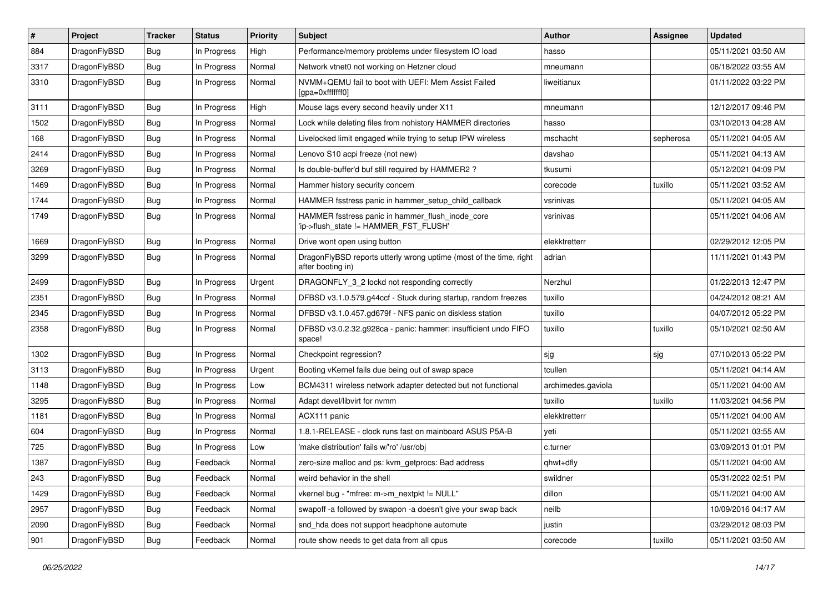| #    | Project      | <b>Tracker</b> | <b>Status</b> | <b>Priority</b> | Subject                                                                                   | <b>Author</b>      | <b>Assignee</b> | <b>Updated</b>      |
|------|--------------|----------------|---------------|-----------------|-------------------------------------------------------------------------------------------|--------------------|-----------------|---------------------|
| 884  | DragonFlyBSD | Bug            | In Progress   | High            | Performance/memory problems under filesystem IO load                                      | hasso              |                 | 05/11/2021 03:50 AM |
| 3317 | DragonFlyBSD | Bug            | In Progress   | Normal          | Network vtnet0 not working on Hetzner cloud                                               | mneumann           |                 | 06/18/2022 03:55 AM |
| 3310 | DragonFlyBSD | Bug            | In Progress   | Normal          | NVMM+QEMU fail to boot with UEFI: Mem Assist Failed<br>[gpa=0xfffffff0]                   | liweitianux        |                 | 01/11/2022 03:22 PM |
| 3111 | DragonFlyBSD | Bug            | In Progress   | High            | Mouse lags every second heavily under X11                                                 | mneumann           |                 | 12/12/2017 09:46 PM |
| 1502 | DragonFlyBSD | Bug            | In Progress   | Normal          | Lock while deleting files from nohistory HAMMER directories                               | hasso              |                 | 03/10/2013 04:28 AM |
| 168  | DragonFlyBSD | Bug            | In Progress   | Normal          | Livelocked limit engaged while trying to setup IPW wireless                               | mschacht           | sepherosa       | 05/11/2021 04:05 AM |
| 2414 | DragonFlyBSD | Bug            | In Progress   | Normal          | Lenovo S10 acpi freeze (not new)                                                          | davshao            |                 | 05/11/2021 04:13 AM |
| 3269 | DragonFlyBSD | Bug            | In Progress   | Normal          | Is double-buffer'd buf still required by HAMMER2 ?                                        | tkusumi            |                 | 05/12/2021 04:09 PM |
| 1469 | DragonFlyBSD | Bug            | In Progress   | Normal          | Hammer history security concern                                                           | corecode           | tuxillo         | 05/11/2021 03:52 AM |
| 1744 | DragonFlyBSD | Bug            | In Progress   | Normal          | HAMMER fsstress panic in hammer_setup_child_callback                                      | vsrinivas          |                 | 05/11/2021 04:05 AM |
| 1749 | DragonFlyBSD | Bug            | In Progress   | Normal          | HAMMER fsstress panic in hammer_flush_inode_core<br>'ip->flush_state != HAMMER_FST_FLUSH' | vsrinivas          |                 | 05/11/2021 04:06 AM |
| 1669 | DragonFlyBSD | Bug            | In Progress   | Normal          | Drive wont open using button                                                              | elekktretterr      |                 | 02/29/2012 12:05 PM |
| 3299 | DragonFlyBSD | Bug            | In Progress   | Normal          | Dragon FlyBSD reports utterly wrong uptime (most of the time, right<br>after booting in)  | adrian             |                 | 11/11/2021 01:43 PM |
| 2499 | DragonFlyBSD | Bug            | In Progress   | Urgent          | DRAGONFLY 3 2 lockd not responding correctly                                              | Nerzhul            |                 | 01/22/2013 12:47 PM |
| 2351 | DragonFlyBSD | Bug            | In Progress   | Normal          | DFBSD v3.1.0.579.g44ccf - Stuck during startup, random freezes                            | tuxillo            |                 | 04/24/2012 08:21 AM |
| 2345 | DragonFlyBSD | Bug            | In Progress   | Normal          | DFBSD v3.1.0.457.gd679f - NFS panic on diskless station                                   | tuxillo            |                 | 04/07/2012 05:22 PM |
| 2358 | DragonFlyBSD | Bug            | In Progress   | Normal          | DFBSD v3.0.2.32.g928ca - panic: hammer: insufficient undo FIFO<br>space!                  | tuxillo            | tuxillo         | 05/10/2021 02:50 AM |
| 1302 | DragonFlyBSD | Bug            | In Progress   | Normal          | Checkpoint regression?                                                                    | sjg                | sjg             | 07/10/2013 05:22 PM |
| 3113 | DragonFlyBSD | Bug            | In Progress   | Urgent          | Booting vKernel fails due being out of swap space                                         | tcullen            |                 | 05/11/2021 04:14 AM |
| 1148 | DragonFlyBSD | Bug            | In Progress   | Low             | BCM4311 wireless network adapter detected but not functional                              | archimedes.gaviola |                 | 05/11/2021 04:00 AM |
| 3295 | DragonFlyBSD | <b>Bug</b>     | In Progress   | Normal          | Adapt devel/libvirt for nvmm                                                              | tuxillo            | tuxillo         | 11/03/2021 04:56 PM |
| 1181 | DragonFlyBSD | <b>Bug</b>     | In Progress   | Normal          | ACX111 panic                                                                              | elekktretterr      |                 | 05/11/2021 04:00 AM |
| 604  | DragonFlyBSD | <b>Bug</b>     | In Progress   | Normal          | 1.8.1-RELEASE - clock runs fast on mainboard ASUS P5A-B                                   | yeti               |                 | 05/11/2021 03:55 AM |
| 725  | DragonFlyBSD | <b>Bug</b>     | In Progress   | Low             | 'make distribution' fails w/'ro' /usr/obi                                                 | c.turner           |                 | 03/09/2013 01:01 PM |
| 1387 | DragonFlyBSD | <b>Bug</b>     | Feedback      | Normal          | zero-size malloc and ps: kvm_getprocs: Bad address                                        | qhwt+dfly          |                 | 05/11/2021 04:00 AM |
| 243  | DragonFlyBSD | <b>Bug</b>     | Feedback      | Normal          | weird behavior in the shell                                                               | swildner           |                 | 05/31/2022 02:51 PM |
| 1429 | DragonFlyBSD | <b>Bug</b>     | Feedback      | Normal          | vkernel bug - "mfree: m->m_nextpkt != NULL"                                               | dillon             |                 | 05/11/2021 04:00 AM |
| 2957 | DragonFlyBSD | <b>Bug</b>     | Feedback      | Normal          | swapoff -a followed by swapon -a doesn't give your swap back                              | neilb              |                 | 10/09/2016 04:17 AM |
| 2090 | DragonFlyBSD | <b>Bug</b>     | Feedback      | Normal          | snd_hda does not support headphone automute                                               | justin             |                 | 03/29/2012 08:03 PM |
| 901  | DragonFlyBSD | <b>Bug</b>     | Feedback      | Normal          | route show needs to get data from all cpus                                                | corecode           | tuxillo         | 05/11/2021 03:50 AM |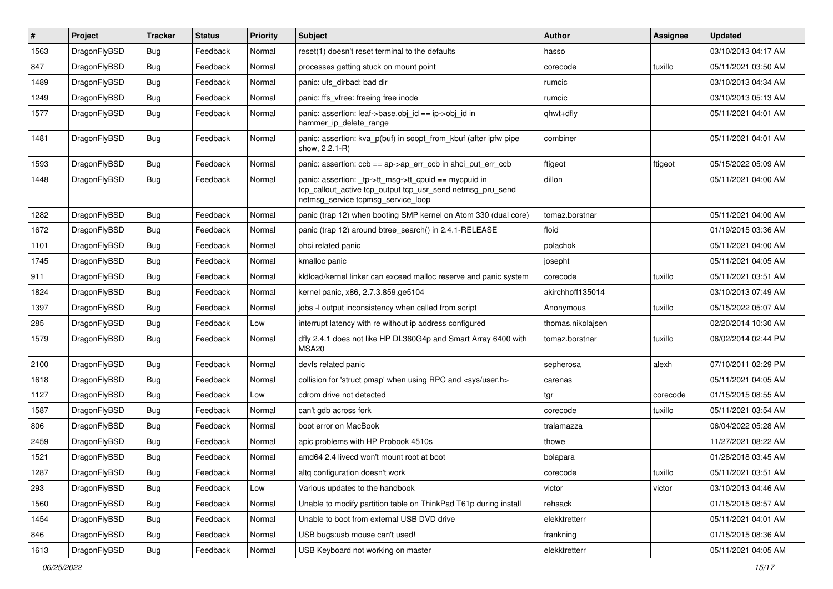| $\vert$ # | Project      | <b>Tracker</b> | <b>Status</b> | <b>Priority</b> | <b>Subject</b>                                                                                                                                            | Author            | Assignee | <b>Updated</b>      |
|-----------|--------------|----------------|---------------|-----------------|-----------------------------------------------------------------------------------------------------------------------------------------------------------|-------------------|----------|---------------------|
| 1563      | DragonFlyBSD | <b>Bug</b>     | Feedback      | Normal          | reset(1) doesn't reset terminal to the defaults                                                                                                           | hasso             |          | 03/10/2013 04:17 AM |
| 847       | DragonFlyBSD | <b>Bug</b>     | Feedback      | Normal          | processes getting stuck on mount point                                                                                                                    | corecode          | tuxillo  | 05/11/2021 03:50 AM |
| 1489      | DragonFlyBSD | <b>Bug</b>     | Feedback      | Normal          | panic: ufs dirbad: bad dir                                                                                                                                | rumcic            |          | 03/10/2013 04:34 AM |
| 1249      | DragonFlyBSD | <b>Bug</b>     | Feedback      | Normal          | panic: ffs vfree: freeing free inode                                                                                                                      | rumcic            |          | 03/10/2013 05:13 AM |
| 1577      | DragonFlyBSD | Bug            | Feedback      | Normal          | panic: assertion: leaf->base.obj_id == ip->obj_id in<br>hammer_ip_delete_range                                                                            | qhwt+dfly         |          | 05/11/2021 04:01 AM |
| 1481      | DragonFlyBSD | Bug            | Feedback      | Normal          | panic: assertion: kva_p(buf) in soopt_from_kbuf (after ipfw pipe<br>show, 2.2.1-R)                                                                        | combiner          |          | 05/11/2021 04:01 AM |
| 1593      | DragonFlyBSD | <b>Bug</b>     | Feedback      | Normal          | panic: assertion: $ccb == ap \rightarrow ap\_err\_ccb$ in ahci_put_err_ccb                                                                                | ftigeot           | ftigeot  | 05/15/2022 05:09 AM |
| 1448      | DragonFlyBSD | Bug            | Feedback      | Normal          | panic: assertion: _tp->tt_msg->tt_cpuid == mycpuid in<br>tcp_callout_active tcp_output tcp_usr_send netmsg_pru_send<br>netmsg_service tcpmsg_service_loop | dillon            |          | 05/11/2021 04:00 AM |
| 1282      | DragonFlyBSD | Bug            | Feedback      | Normal          | panic (trap 12) when booting SMP kernel on Atom 330 (dual core)                                                                                           | tomaz.borstnar    |          | 05/11/2021 04:00 AM |
| 1672      | DragonFlyBSD | <b>Bug</b>     | Feedback      | Normal          | panic (trap 12) around btree search() in 2.4.1-RELEASE                                                                                                    | floid             |          | 01/19/2015 03:36 AM |
| 1101      | DragonFlyBSD | Bug            | Feedback      | Normal          | ohci related panic                                                                                                                                        | polachok          |          | 05/11/2021 04:00 AM |
| 1745      | DragonFlyBSD | <b>Bug</b>     | Feedback      | Normal          | kmalloc panic                                                                                                                                             | josepht           |          | 05/11/2021 04:05 AM |
| 911       | DragonFlyBSD | <b>Bug</b>     | Feedback      | Normal          | kldload/kernel linker can exceed malloc reserve and panic system                                                                                          | corecode          | tuxillo  | 05/11/2021 03:51 AM |
| 1824      | DragonFlyBSD | <b>Bug</b>     | Feedback      | Normal          | kernel panic, x86, 2.7.3.859.ge5104                                                                                                                       | akirchhoff135014  |          | 03/10/2013 07:49 AM |
| 1397      | DragonFlyBSD | <b>Bug</b>     | Feedback      | Normal          | jobs -I output inconsistency when called from script                                                                                                      | Anonymous         | tuxillo  | 05/15/2022 05:07 AM |
| 285       | DragonFlyBSD | Bug            | Feedback      | Low             | interrupt latency with re without ip address configured                                                                                                   | thomas.nikolajsen |          | 02/20/2014 10:30 AM |
| 1579      | DragonFlyBSD | Bug            | Feedback      | Normal          | dfly 2.4.1 does not like HP DL360G4p and Smart Array 6400 with<br>MSA <sub>20</sub>                                                                       | tomaz.borstnar    | tuxillo  | 06/02/2014 02:44 PM |
| 2100      | DragonFlyBSD | Bug            | Feedback      | Normal          | devfs related panic                                                                                                                                       | sepherosa         | alexh    | 07/10/2011 02:29 PM |
| 1618      | DragonFlyBSD | <b>Bug</b>     | Feedback      | Normal          | collision for 'struct pmap' when using RPC and <sys user.h=""></sys>                                                                                      | carenas           |          | 05/11/2021 04:05 AM |
| 1127      | DragonFlyBSD | <b>Bug</b>     | Feedback      | Low             | cdrom drive not detected                                                                                                                                  | tgr               | corecode | 01/15/2015 08:55 AM |
| 1587      | DragonFlyBSD | <b>Bug</b>     | Feedback      | Normal          | can't gdb across fork                                                                                                                                     | corecode          | tuxillo  | 05/11/2021 03:54 AM |
| 806       | DragonFlyBSD | <b>Bug</b>     | Feedback      | Normal          | boot error on MacBook                                                                                                                                     | tralamazza        |          | 06/04/2022 05:28 AM |
| 2459      | DragonFlyBSD | Bug            | Feedback      | Normal          | apic problems with HP Probook 4510s                                                                                                                       | thowe             |          | 11/27/2021 08:22 AM |
| 1521      | DragonFlyBSD | <b>Bug</b>     | Feedback      | Normal          | amd64 2.4 livecd won't mount root at boot                                                                                                                 | bolapara          |          | 01/28/2018 03:45 AM |
| 1287      | DragonFlyBSD | <b>Bug</b>     | Feedback      | Normal          | altq configuration doesn't work                                                                                                                           | corecode          | tuxillo  | 05/11/2021 03:51 AM |
| 293       | DragonFlyBSD | Bug            | Feedback      | Low             | Various updates to the handbook                                                                                                                           | victor            | victor   | 03/10/2013 04:46 AM |
| 1560      | DragonFlyBSD | <b>Bug</b>     | Feedback      | Normal          | Unable to modify partition table on ThinkPad T61p during install                                                                                          | rehsack           |          | 01/15/2015 08:57 AM |
| 1454      | DragonFlyBSD | <b>Bug</b>     | Feedback      | Normal          | Unable to boot from external USB DVD drive                                                                                                                | elekktretterr     |          | 05/11/2021 04:01 AM |
| 846       | DragonFlyBSD | <b>Bug</b>     | Feedback      | Normal          | USB bugs:usb mouse can't used!                                                                                                                            | frankning         |          | 01/15/2015 08:36 AM |
| 1613      | DragonFlyBSD | Bug            | Feedback      | Normal          | USB Keyboard not working on master                                                                                                                        | elekktretterr     |          | 05/11/2021 04:05 AM |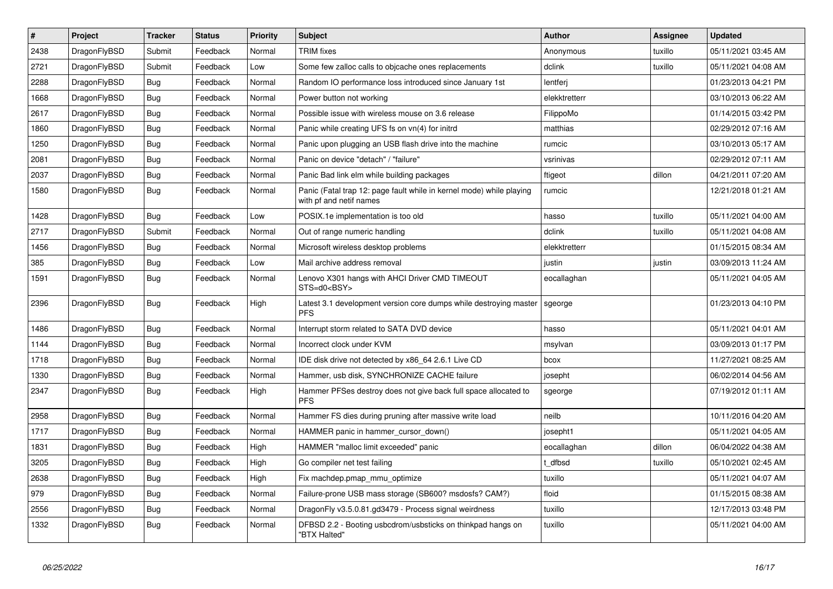| $\pmb{\#}$ | <b>Project</b> | <b>Tracker</b> | <b>Status</b> | <b>Priority</b> | <b>Subject</b>                                                                                  | <b>Author</b> | Assignee | <b>Updated</b>      |
|------------|----------------|----------------|---------------|-----------------|-------------------------------------------------------------------------------------------------|---------------|----------|---------------------|
| 2438       | DragonFlyBSD   | Submit         | Feedback      | Normal          | <b>TRIM</b> fixes                                                                               | Anonymous     | tuxillo  | 05/11/2021 03:45 AM |
| 2721       | DragonFlyBSD   | Submit         | Feedback      | Low             | Some few zalloc calls to objcache ones replacements                                             | dclink        | tuxillo  | 05/11/2021 04:08 AM |
| 2288       | DragonFlyBSD   | Bug            | Feedback      | Normal          | Random IO performance loss introduced since January 1st                                         | lentferj      |          | 01/23/2013 04:21 PM |
| 1668       | DragonFlyBSD   | Bug            | Feedback      | Normal          | Power button not working                                                                        | elekktretterr |          | 03/10/2013 06:22 AM |
| 2617       | DragonFlyBSD   | <b>Bug</b>     | Feedback      | Normal          | Possible issue with wireless mouse on 3.6 release                                               | FilippoMo     |          | 01/14/2015 03:42 PM |
| 1860       | DragonFlyBSD   | Bug            | Feedback      | Normal          | Panic while creating UFS fs on vn(4) for initrd                                                 | matthias      |          | 02/29/2012 07:16 AM |
| 1250       | DragonFlyBSD   | Bug            | Feedback      | Normal          | Panic upon plugging an USB flash drive into the machine                                         | rumcic        |          | 03/10/2013 05:17 AM |
| 2081       | DragonFlyBSD   | Bug            | Feedback      | Normal          | Panic on device "detach" / "failure"                                                            | vsrinivas     |          | 02/29/2012 07:11 AM |
| 2037       | DragonFlyBSD   | <b>Bug</b>     | Feedback      | Normal          | Panic Bad link elm while building packages                                                      | ftigeot       | dillon   | 04/21/2011 07:20 AM |
| 1580       | DragonFlyBSD   | Bug            | Feedback      | Normal          | Panic (Fatal trap 12: page fault while in kernel mode) while playing<br>with pf and netif names | rumcic        |          | 12/21/2018 01:21 AM |
| 1428       | DragonFlyBSD   | Bug            | Feedback      | Low             | POSIX.1e implementation is too old                                                              | hasso         | tuxillo  | 05/11/2021 04:00 AM |
| 2717       | DragonFlyBSD   | Submit         | Feedback      | Normal          | Out of range numeric handling                                                                   | dclink        | tuxillo  | 05/11/2021 04:08 AM |
| 1456       | DragonFlyBSD   | Bug            | Feedback      | Normal          | Microsoft wireless desktop problems                                                             | elekktretterr |          | 01/15/2015 08:34 AM |
| 385        | DragonFlyBSD   | Bug            | Feedback      | Low             | Mail archive address removal                                                                    | justin        | justin   | 03/09/2013 11:24 AM |
| 1591       | DragonFlyBSD   | <b>Bug</b>     | Feedback      | Normal          | Lenovo X301 hangs with AHCI Driver CMD TIMEOUT<br>STS=d0 <bsy></bsy>                            | eocallaghan   |          | 05/11/2021 04:05 AM |
| 2396       | DragonFlyBSD   | <b>Bug</b>     | Feedback      | High            | Latest 3.1 development version core dumps while destroying master<br><b>PFS</b>                 | sgeorge       |          | 01/23/2013 04:10 PM |
| 1486       | DragonFlyBSD   | <b>Bug</b>     | Feedback      | Normal          | Interrupt storm related to SATA DVD device                                                      | hasso         |          | 05/11/2021 04:01 AM |
| 1144       | DragonFlyBSD   | Bug            | Feedback      | Normal          | Incorrect clock under KVM                                                                       | msylvan       |          | 03/09/2013 01:17 PM |
| 1718       | DragonFlyBSD   | <b>Bug</b>     | Feedback      | Normal          | IDE disk drive not detected by x86 64 2.6.1 Live CD                                             | bcox          |          | 11/27/2021 08:25 AM |
| 1330       | DragonFlyBSD   | <b>Bug</b>     | Feedback      | Normal          | Hammer, usb disk, SYNCHRONIZE CACHE failure                                                     | josepht       |          | 06/02/2014 04:56 AM |
| 2347       | DragonFlyBSD   | <b>Bug</b>     | Feedback      | High            | Hammer PFSes destroy does not give back full space allocated to<br><b>PFS</b>                   | sgeorge       |          | 07/19/2012 01:11 AM |
| 2958       | DragonFlyBSD   | Bug            | Feedback      | Normal          | Hammer FS dies during pruning after massive write load                                          | neilb         |          | 10/11/2016 04:20 AM |
| 1717       | DragonFlyBSD   | <b>Bug</b>     | Feedback      | Normal          | HAMMER panic in hammer cursor down()                                                            | josepht1      |          | 05/11/2021 04:05 AM |
| 1831       | DragonFlyBSD   | <b>Bug</b>     | Feedback      | High            | HAMMER "malloc limit exceeded" panic                                                            | eocallaghan   | dillon   | 06/04/2022 04:38 AM |
| 3205       | DragonFlyBSD   | Bug            | Feedback      | High            | Go compiler net test failing                                                                    | t dfbsd       | tuxillo  | 05/10/2021 02:45 AM |
| 2638       | DragonFlyBSD   | <b>Bug</b>     | Feedback      | High            | Fix machdep.pmap_mmu_optimize                                                                   | tuxillo       |          | 05/11/2021 04:07 AM |
| 979        | DragonFlyBSD   | Bug            | Feedback      | Normal          | Failure-prone USB mass storage (SB600? msdosfs? CAM?)                                           | floid         |          | 01/15/2015 08:38 AM |
| 2556       | DragonFlyBSD   | Bug            | Feedback      | Normal          | DragonFly v3.5.0.81.gd3479 - Process signal weirdness                                           | tuxillo       |          | 12/17/2013 03:48 PM |
| 1332       | DragonFlyBSD   | Bug            | Feedback      | Normal          | DFBSD 2.2 - Booting usbcdrom/usbsticks on thinkpad hangs on<br>"BTX Halted"                     | tuxillo       |          | 05/11/2021 04:00 AM |